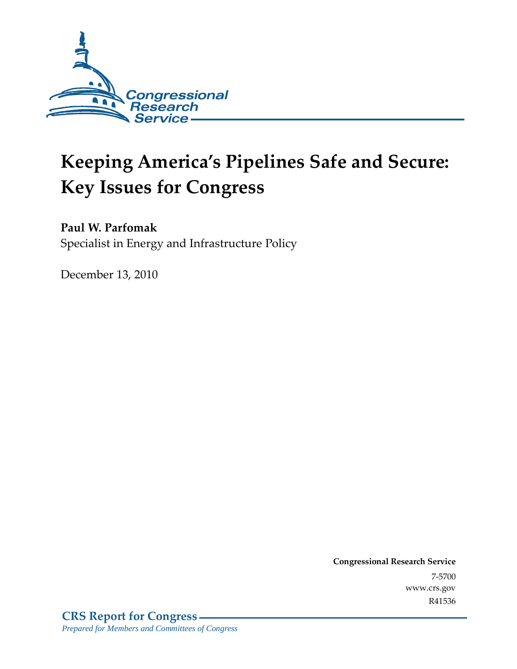

# **Keeping America's Pipelines Safe and Secure: Key Issues for Congress**

## **Paul W. Parfomak**

Specialist in Energy and Infrastructure Policy

December 13, 2010

**Congressional Research Service** 7-5700 www.crs.gov R41536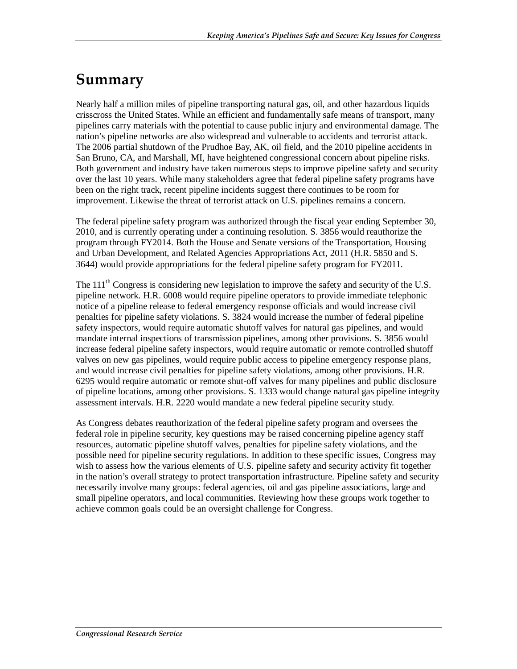## **Summary**

Nearly half a million miles of pipeline transporting natural gas, oil, and other hazardous liquids crisscross the United States. While an efficient and fundamentally safe means of transport, many pipelines carry materials with the potential to cause public injury and environmental damage. The nation's pipeline networks are also widespread and vulnerable to accidents and terrorist attack. The 2006 partial shutdown of the Prudhoe Bay, AK, oil field, and the 2010 pipeline accidents in San Bruno, CA, and Marshall, MI, have heightened congressional concern about pipeline risks. Both government and industry have taken numerous steps to improve pipeline safety and security over the last 10 years. While many stakeholders agree that federal pipeline safety programs have been on the right track, recent pipeline incidents suggest there continues to be room for improvement. Likewise the threat of terrorist attack on U.S. pipelines remains a concern.

The federal pipeline safety program was authorized through the fiscal year ending September 30, 2010, and is currently operating under a continuing resolution. S. 3856 would reauthorize the program through FY2014. Both the House and Senate versions of the Transportation, Housing and Urban Development, and Related Agencies Appropriations Act, 2011 (H.R. 5850 and S. 3644) would provide appropriations for the federal pipeline safety program for FY2011.

The  $111<sup>th</sup>$  Congress is considering new legislation to improve the safety and security of the U.S. pipeline network. H.R. 6008 would require pipeline operators to provide immediate telephonic notice of a pipeline release to federal emergency response officials and would increase civil penalties for pipeline safety violations. S. 3824 would increase the number of federal pipeline safety inspectors, would require automatic shutoff valves for natural gas pipelines, and would mandate internal inspections of transmission pipelines, among other provisions. S. 3856 would increase federal pipeline safety inspectors, would require automatic or remote controlled shutoff valves on new gas pipelines, would require public access to pipeline emergency response plans, and would increase civil penalties for pipeline safety violations, among other provisions. H.R. 6295 would require automatic or remote shut-off valves for many pipelines and public disclosure of pipeline locations, among other provisions. S. 1333 would change natural gas pipeline integrity assessment intervals. H.R. 2220 would mandate a new federal pipeline security study.

As Congress debates reauthorization of the federal pipeline safety program and oversees the federal role in pipeline security, key questions may be raised concerning pipeline agency staff resources, automatic pipeline shutoff valves, penalties for pipeline safety violations, and the possible need for pipeline security regulations. In addition to these specific issues, Congress may wish to assess how the various elements of U.S. pipeline safety and security activity fit together in the nation's overall strategy to protect transportation infrastructure. Pipeline safety and security necessarily involve many groups: federal agencies, oil and gas pipeline associations, large and small pipeline operators, and local communities. Reviewing how these groups work together to achieve common goals could be an oversight challenge for Congress.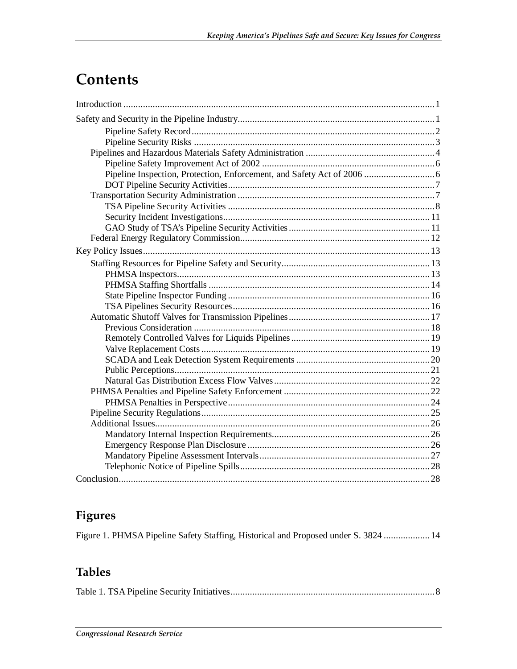## **Contents**

## **Figures**

Figure 1. PHMSA Pipeline Safety Staffing, Historical and Proposed under S. 3824 ...................14

## **Tables**

|--|--|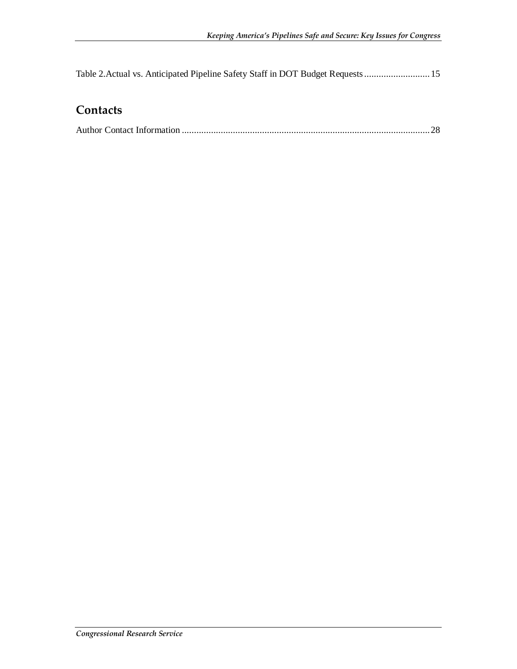Table 2.Actual vs. Anticipated Pipeline Safety Staff in DOT Budget Requests ...........................15

### **Contacts**

|--|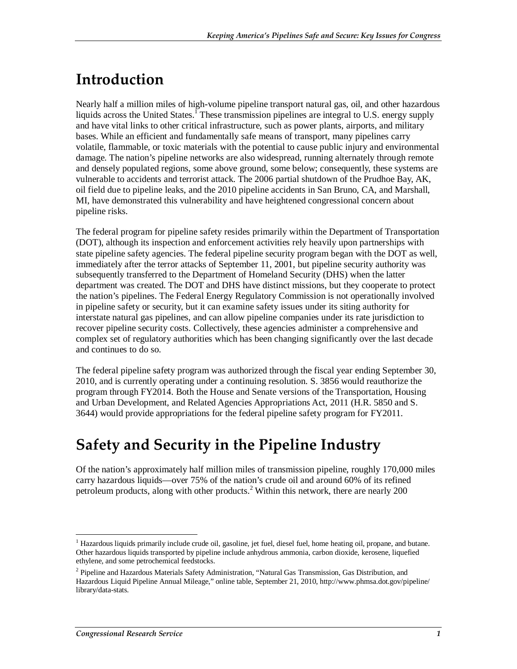## **Introduction**

Nearly half a million miles of high-volume pipeline transport natural gas, oil, and other hazardous liquids across the United States.<sup>1</sup> These transmission pipelines are integral to U.S. energy supply and have vital links to other critical infrastructure, such as power plants, airports, and military bases. While an efficient and fundamentally safe means of transport, many pipelines carry volatile, flammable, or toxic materials with the potential to cause public injury and environmental damage. The nation's pipeline networks are also widespread, running alternately through remote and densely populated regions, some above ground, some below; consequently, these systems are vulnerable to accidents and terrorist attack. The 2006 partial shutdown of the Prudhoe Bay, AK, oil field due to pipeline leaks, and the 2010 pipeline accidents in San Bruno, CA, and Marshall, MI, have demonstrated this vulnerability and have heightened congressional concern about pipeline risks.

The federal program for pipeline safety resides primarily within the Department of Transportation (DOT), although its inspection and enforcement activities rely heavily upon partnerships with state pipeline safety agencies. The federal pipeline security program began with the DOT as well, immediately after the terror attacks of September 11, 2001, but pipeline security authority was subsequently transferred to the Department of Homeland Security (DHS) when the latter department was created. The DOT and DHS have distinct missions, but they cooperate to protect the nation's pipelines. The Federal Energy Regulatory Commission is not operationally involved in pipeline safety or security, but it can examine safety issues under its siting authority for interstate natural gas pipelines, and can allow pipeline companies under its rate jurisdiction to recover pipeline security costs. Collectively, these agencies administer a comprehensive and complex set of regulatory authorities which has been changing significantly over the last decade and continues to do so.

The federal pipeline safety program was authorized through the fiscal year ending September 30, 2010, and is currently operating under a continuing resolution. S. 3856 would reauthorize the program through FY2014. Both the House and Senate versions of the Transportation, Housing and Urban Development, and Related Agencies Appropriations Act, 2011 (H.R. 5850 and S. 3644) would provide appropriations for the federal pipeline safety program for FY2011.

## **Safety and Security in the Pipeline Industry**

Of the nation's approximately half million miles of transmission pipeline, roughly 170,000 miles carry hazardous liquids—over 75% of the nation's crude oil and around 60% of its refined petroleum products, along with other products.<sup>2</sup> Within this network, there are nearly 200

<sup>-</sup><sup>1</sup> Hazardous liquids primarily include crude oil, gasoline, jet fuel, diesel fuel, home heating oil, propane, and butane. Other hazardous liquids transported by pipeline include anhydrous ammonia, carbon dioxide, kerosene, liquefied ethylene, and some petrochemical feedstocks.

<sup>&</sup>lt;sup>2</sup> Pipeline and Hazardous Materials Safety Administration, "Natural Gas Transmission, Gas Distribution, and Hazardous Liquid Pipeline Annual Mileage," online table, September 21, 2010, http://www.phmsa.dot.gov/pipeline/ library/data-stats.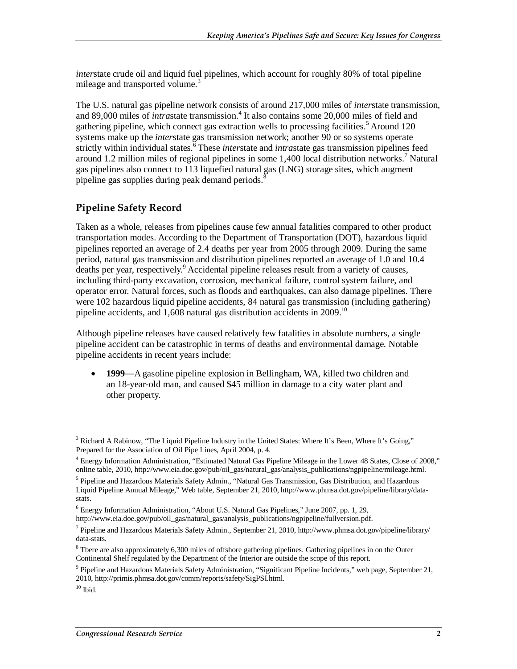*inter*state crude oil and liquid fuel pipelines, which account for roughly 80% of total pipeline mileage and transported volume.<sup>3</sup>

The U.S. natural gas pipeline network consists of around 217,000 miles of *inter*state transmission, and 89,000 miles of *intrastate* transmission.<sup>4</sup> It also contains some 20,000 miles of field and gathering pipeline, which connect gas extraction wells to processing facilities.<sup>5</sup> Around 120 systems make up the *inter*state gas transmission network; another 90 or so systems operate strictly within individual states.<sup>6</sup> These *interstate* and *intrastate* gas transmission pipelines feed around 1.2 million miles of regional pipelines in some 1,400 local distribution networks.<sup>7</sup> Natural gas pipelines also connect to 113 liquefied natural gas (LNG) storage sites, which augment pipeline gas supplies during peak demand periods. $\frac{8}{3}$ 

#### **Pipeline Safety Record**

Taken as a whole, releases from pipelines cause few annual fatalities compared to other product transportation modes. According to the Department of Transportation (DOT), hazardous liquid pipelines reported an average of 2.4 deaths per year from 2005 through 2009. During the same period, natural gas transmission and distribution pipelines reported an average of 1.0 and 10.4 deaths per year, respectively.<sup>9</sup> Accidental pipeline releases result from a variety of causes, including third-party excavation, corrosion, mechanical failure, control system failure, and operator error. Natural forces, such as floods and earthquakes, can also damage pipelines. There were 102 hazardous liquid pipeline accidents, 84 natural gas transmission (including gathering) pipeline accidents, and  $1,608$  natural gas distribution accidents in  $2009$ .<sup>10</sup>

Although pipeline releases have caused relatively few fatalities in absolute numbers, a single pipeline accident can be catastrophic in terms of deaths and environmental damage. Notable pipeline accidents in recent years include:

• **1999―**A gasoline pipeline explosion in Bellingham, WA, killed two children and an 18-year-old man, and caused \$45 million in damage to a city water plant and other property.

<sup>-</sup><sup>3</sup> Richard A Rabinow, "The Liquid Pipeline Industry in the United States: Where It's Been, Where It's Going," Prepared for the Association of Oil Pipe Lines, April 2004, p. 4.

<sup>&</sup>lt;sup>4</sup> Energy Information Administration, "Estimated Natural Gas Pipeline Mileage in the Lower 48 States, Close of 2008," online table, 2010, http://www.eia.doe.gov/pub/oil\_gas/natural\_gas/analysis\_publications/ngpipeline/mileage.html.

<sup>&</sup>lt;sup>5</sup> Pipeline and Hazardous Materials Safety Admin., "Natural Gas Transmission, Gas Distribution, and Hazardous Liquid Pipeline Annual Mileage," Web table, September 21, 2010, http://www.phmsa.dot.gov/pipeline/library/datastats.

<sup>&</sup>lt;sup>6</sup> Energy Information Administration, "About U.S. Natural Gas Pipelines," June 2007, pp. 1, 29,

http://www.eia.doe.gov/pub/oil\_gas/natural\_gas/analysis\_publications/ngpipeline/fullversion.pdf.

<sup>&</sup>lt;sup>7</sup> Pipeline and Hazardous Materials Safety Admin., September 21, 2010, http://www.phmsa.dot.gov/pipeline/library/ data-stats.

<sup>&</sup>lt;sup>8</sup> Tbere are also approximately 6,300 miles of offshore gathering pipelines. Gathering pipelines in on the Outer Continental Shelf regulated by the Department of the Interior are outside the scope of this report.

<sup>&</sup>lt;sup>9</sup> Pipeline and Hazardous Materials Safety Administration, "Significant Pipeline Incidents," web page, September 21, 2010, http://primis.phmsa.dot.gov/comm/reports/safety/SigPSI.html.

 $10$  Ibid.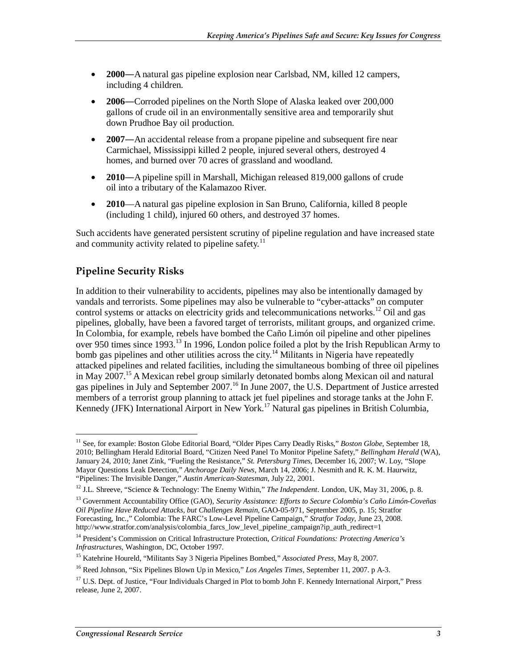- **2000―**A natural gas pipeline explosion near Carlsbad, NM, killed 12 campers, including 4 children.
- **2006―**Corroded pipelines on the North Slope of Alaska leaked over 200,000 gallons of crude oil in an environmentally sensitive area and temporarily shut down Prudhoe Bay oil production.
- **2007―**An accidental release from a propane pipeline and subsequent fire near Carmichael, Mississippi killed 2 people, injured several others, destroyed 4 homes, and burned over 70 acres of grassland and woodland.
- **2010**—A pipeline spill in Marshall, Michigan released 819,000 gallons of crude oil into a tributary of the Kalamazoo River.
- **2010**—A natural gas pipeline explosion in San Bruno, California, killed 8 people (including 1 child), injured 60 others, and destroyed 37 homes.

Such accidents have generated persistent scrutiny of pipeline regulation and have increased state and community activity related to pipeline safety.<sup>11</sup>

#### **Pipeline Security Risks**

In addition to their vulnerability to accidents, pipelines may also be intentionally damaged by vandals and terrorists. Some pipelines may also be vulnerable to "cyber-attacks" on computer control systems or attacks on electricity grids and telecommunications networks.<sup>12</sup> Oil and gas pipelines, globally, have been a favored target of terrorists, militant groups, and organized crime. In Colombia, for example, rebels have bombed the Caño Limón oil pipeline and other pipelines over 950 times since 1993.13 In 1996, London police foiled a plot by the Irish Republican Army to bomb gas pipelines and other utilities across the city.<sup>14</sup> Militants in Nigeria have repeatedly attacked pipelines and related facilities, including the simultaneous bombing of three oil pipelines in May 2007.<sup>15</sup> A Mexican rebel group similarly detonated bombs along Mexican oil and natural gas pipelines in July and September 2007.<sup>16</sup> In June 2007, the U.S. Department of Justice arrested members of a terrorist group planning to attack jet fuel pipelines and storage tanks at the John F. Kennedy (JFK) International Airport in New York.<sup>17</sup> Natural gas pipelines in British Columbia,

<sup>-</sup><sup>11</sup> See, for example: Boston Globe Editorial Board, "Older Pipes Carry Deadly Risks," Boston Globe, September 18, 2010; Bellingham Herald Editorial Board, "Citizen Need Panel To Monitor Pipeline Safety," *Bellingham Herald* (WA), January 24, 2010; Janet Zink, "Fueling the Resistance," *St. Petersburg Times*, December 16, 2007; W. Loy, "Slope Mayor Questions Leak Detection," *Anchorage Daily News*, March 14, 2006; J. Nesmith and R. K. M. Haurwitz, "Pipelines: The Invisible Danger," *Austin American-Statesman*, July 22, 2001.

<sup>12</sup> J.L. Shreeve, "Science & Technology: The Enemy Within," *The Independent*. London, UK, May 31, 2006, p. 8.

<sup>13</sup> Government Accountability Office (GAO), *Security Assistance: Efforts to Secure Colombia's Caño Limón-Coveñas Oil Pipeline Have Reduced Attacks, but Challenges Remain*, GAO-05-971, September 2005, p. 15; Stratfor Forecasting, Inc.," Colombia: The FARC's Low-Level Pipeline Campaign," *Stratfor Today*, June 23, 2008. http://www.stratfor.com/analysis/colombia\_farcs\_low\_level\_pipeline\_campaign?ip\_auth\_redirect=1

<sup>&</sup>lt;sup>14</sup> President's Commission on Critical Infrastructure Protection, *Critical Foundations: Protecting America's Infrastructures*, Washington, DC, October 1997.

<sup>&</sup>lt;sup>15</sup> Katehrine Houreld, "Militants Say 3 Nigeria Pipelines Bombed," *Associated Press*, May 8, 2007.

<sup>16</sup> Reed Johnson, "Six Pipelines Blown Up in Mexico," *Los Angeles Times,* September 11, 2007. p A-3.

<sup>&</sup>lt;sup>17</sup> U.S. Dept. of Justice, "Four Individuals Charged in Plot to bomb John F. Kennedy International Airport," Press release, June 2, 2007.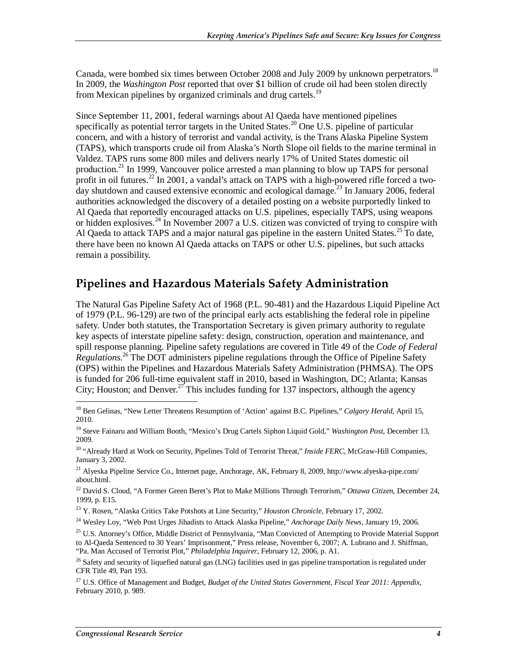Canada, were bombed six times between October 2008 and July 2009 by unknown perpetrators.<sup>18</sup> In 2009, the *Washington Post* reported that over \$1 billion of crude oil had been stolen directly from Mexican pipelines by organized criminals and drug cartels.<sup>19</sup>

Since September 11, 2001, federal warnings about Al Qaeda have mentioned pipelines specifically as potential terror targets in the United States.<sup>20</sup> One U.S. pipeline of particular concern, and with a history of terrorist and vandal activity, is the Trans Alaska Pipeline System (TAPS), which transports crude oil from Alaska's North Slope oil fields to the marine terminal in Valdez. TAPS runs some 800 miles and delivers nearly 17% of United States domestic oil production.<sup>21</sup> In 1999, Vancouver police arrested a man planning to blow up TAPS for personal profit in oil futures.<sup>22</sup> In 2001, a vandal's attack on TAPS with a high-powered rifle forced a twoday shutdown and caused extensive economic and ecological damage.<sup>23</sup> In January 2006, federal authorities acknowledged the discovery of a detailed posting on a website purportedly linked to Al Qaeda that reportedly encouraged attacks on U.S. pipelines, especially TAPS, using weapons or hidden explosives.<sup>24</sup> In November 2007 a U.S. citizen was convicted of trying to conspire with Al Qaeda to attack TAPS and a major natural gas pipeline in the eastern United States.<sup>25</sup> To date, there have been no known Al Qaeda attacks on TAPS or other U.S. pipelines, but such attacks remain a possibility.

### **Pipelines and Hazardous Materials Safety Administration**

The Natural Gas Pipeline Safety Act of 1968 (P.L. 90-481) and the Hazardous Liquid Pipeline Act of 1979 (P.L. 96-129) are two of the principal early acts establishing the federal role in pipeline safety. Under both statutes, the Transportation Secretary is given primary authority to regulate key aspects of interstate pipeline safety: design, construction, operation and maintenance, and spill response planning. Pipeline safety regulations are covered in Title 49 of the *Code of Federal Regulations*. 26 The DOT administers pipeline regulations through the Office of Pipeline Safety (OPS) within the Pipelines and Hazardous Materials Safety Administration (PHMSA). The OPS is funded for 206 full-time equivalent staff in 2010, based in Washington, DC; Atlanta; Kansas City; Houston; and Denver.<sup>27</sup> This includes funding for 137 inspectors, although the agency

<sup>-</sup><sup>18</sup> Ben Gelinas, "New Letter Threatens Resumption of 'Action' against B.C. Pipelines," Calgary Herald, April 15, 2010.

<sup>19</sup> Steve Fainaru and William Booth, "Mexico's Drug Cartels Siphon Liquid Gold," *Washington Post*, December 13, 2009.

<sup>20 &</sup>quot;Already Hard at Work on Security, Pipelines Told of Terrorist Threat," *Inside FERC*, McGraw-Hill Companies, January 3, 2002.

<sup>21</sup> Alyeska Pipeline Service Co., Internet page, Anchorage, AK, February 8, 2009, http://www.alyeska-pipe.com/ about.html.

<sup>22</sup> David S. Cloud, "A Former Green Beret's Plot to Make Millions Through Terrorism," *Ottawa Citizen*, December 24, 1999, p. E15.

<sup>23</sup> Y. Rosen, "Alaska Critics Take Potshots at Line Security," *Houston Chronicle*, February 17, 2002.

<sup>24</sup> Wesley Loy, "Web Post Urges Jihadists to Attack Alaska Pipeline," *Anchorage Daily News*, January 19, 2006.

<sup>&</sup>lt;sup>25</sup> U.S. Attorney's Office, Middle District of Pennsylvania, "Man Convicted of Attempting to Provide Material Support to Al-Qaeda Sentenced to 30 Years' Imprisonment," Press release, November 6, 2007; A. Lubrano and J. Shiffman, "Pa. Man Accused of Terrorist Plot," *Philadelphia Inquirer*, February 12, 2006, p. A1.

<sup>&</sup>lt;sup>26</sup> Safety and security of liquefied natural gas (LNG) facilities used in gas pipeline transportation is regulated under CFR Title 49, Part 193.

<sup>27</sup> U.S. Office of Management and Budget, *Budget of the United States Government, Fiscal Year 2011: Appendix*, February 2010, p. 989.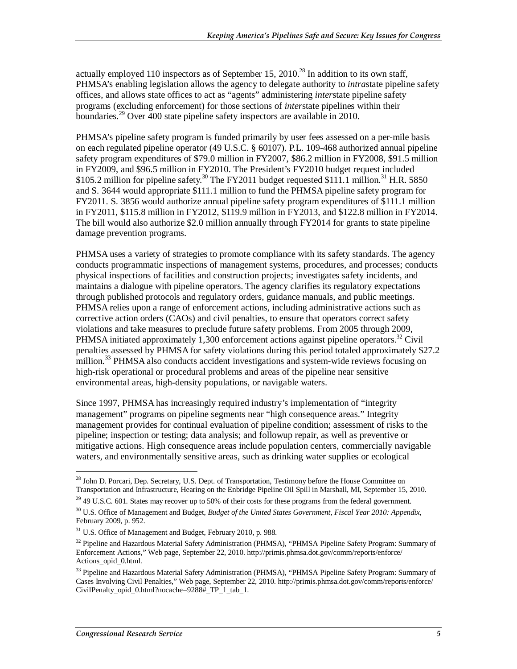actually employed 110 inspectors as of September 15, 2010.<sup>28</sup> In addition to its own staff, PHMSA's enabling legislation allows the agency to delegate authority to *intra*state pipeline safety offices, and allows state offices to act as "agents" administering *inter*state pipeline safety programs (excluding enforcement) for those sections of *inter*state pipelines within their boundaries.<sup>29</sup> Over 400 state pipeline safety inspectors are available in 2010.

PHMSA's pipeline safety program is funded primarily by user fees assessed on a per-mile basis on each regulated pipeline operator (49 U.S.C. § 60107). P.L. 109-468 authorized annual pipeline safety program expenditures of \$79.0 million in FY2007, \$86.2 million in FY2008, \$91.5 million in FY2009, and \$96.5 million in FY2010. The President's FY2010 budget request included \$105.2 million for pipeline safety.<sup>30</sup> The FY2011 budget requested \$111.1 million.<sup>31</sup> H.R. 5850 and S. 3644 would appropriate \$111.1 million to fund the PHMSA pipeline safety program for FY2011. S. 3856 would authorize annual pipeline safety program expenditures of \$111.1 million in FY2011, \$115.8 million in FY2012, \$119.9 million in FY2013, and \$122.8 million in FY2014. The bill would also authorize \$2.0 million annually through FY2014 for grants to state pipeline damage prevention programs.

PHMSA uses a variety of strategies to promote compliance with its safety standards. The agency conducts programmatic inspections of management systems, procedures, and processes; conducts physical inspections of facilities and construction projects; investigates safety incidents, and maintains a dialogue with pipeline operators. The agency clarifies its regulatory expectations through published protocols and regulatory orders, guidance manuals, and public meetings. PHMSA relies upon a range of enforcement actions, including administrative actions such as corrective action orders (CAOs) and civil penalties, to ensure that operators correct safety violations and take measures to preclude future safety problems. From 2005 through 2009, PHMSA initiated approximately 1,300 enforcement actions against pipeline operators.<sup>32</sup> Civil penalties assessed by PHMSA for safety violations during this period totaled approximately \$27.2 million.<sup>33</sup> PHMSA also conducts accident investigations and system-wide reviews focusing on high-risk operational or procedural problems and areas of the pipeline near sensitive environmental areas, high-density populations, or navigable waters.

Since 1997, PHMSA has increasingly required industry's implementation of "integrity management" programs on pipeline segments near "high consequence areas." Integrity management provides for continual evaluation of pipeline condition; assessment of risks to the pipeline; inspection or testing; data analysis; and followup repair, as well as preventive or mitigative actions. High consequence areas include population centers, commercially navigable waters, and environmentally sensitive areas, such as drinking water supplies or ecological

-

<sup>&</sup>lt;sup>28</sup> John D. Porcari, Dep. Secretary, U.S. Dept. of Transportation, Testimony before the House Committee on Transportation and Infrastructure, Hearing on the Enbridge Pipeline Oil Spill in Marshall, MI, September 15, 2010.

 $^{29}$  49 U.S.C. 601. States may recover up to 50% of their costs for these programs from the federal government.

<sup>30</sup> U.S. Office of Management and Budget, *Budget of the United States Government, Fiscal Year 2010: Appendix*, February 2009, p. 952.

 $31$  U.S. Office of Management and Budget, February 2010, p. 988.

 $32$  Pipeline and Hazardous Material Safety Administration (PHMSA), "PHMSA Pipeline Safety Program: Summary of Enforcement Actions," Web page, September 22, 2010. http://primis.phmsa.dot.gov/comm/reports/enforce/ Actions\_opid\_0.html.

<sup>&</sup>lt;sup>33</sup> Pipeline and Hazardous Material Safety Administration (PHMSA), "PHMSA Pipeline Safety Program: Summary of Cases Involving Civil Penalties," Web page, September 22, 2010. http://primis.phmsa.dot.gov/comm/reports/enforce/ CivilPenalty\_opid\_0.html?nocache=9288#\_TP\_1\_tab\_1.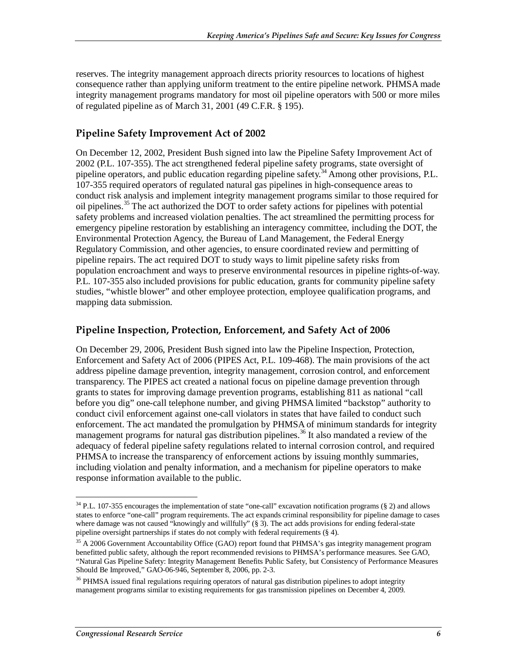reserves. The integrity management approach directs priority resources to locations of highest consequence rather than applying uniform treatment to the entire pipeline network. PHMSA made integrity management programs mandatory for most oil pipeline operators with 500 or more miles of regulated pipeline as of March 31, 2001 (49 C.F.R. § 195).

#### **Pipeline Safety Improvement Act of 2002**

On December 12, 2002, President Bush signed into law the Pipeline Safety Improvement Act of 2002 (P.L. 107-355). The act strengthened federal pipeline safety programs, state oversight of pipeline operators, and public education regarding pipeline safety.<sup>34</sup> Among other provisions, P.L. 107-355 required operators of regulated natural gas pipelines in high-consequence areas to conduct risk analysis and implement integrity management programs similar to those required for oil pipelines.<sup>35</sup> The act authorized the DOT to order safety actions for pipelines with potential safety problems and increased violation penalties. The act streamlined the permitting process for emergency pipeline restoration by establishing an interagency committee, including the DOT, the Environmental Protection Agency, the Bureau of Land Management, the Federal Energy Regulatory Commission, and other agencies, to ensure coordinated review and permitting of pipeline repairs. The act required DOT to study ways to limit pipeline safety risks from population encroachment and ways to preserve environmental resources in pipeline rights-of-way. P.L. 107-355 also included provisions for public education, grants for community pipeline safety studies, "whistle blower" and other employee protection, employee qualification programs, and mapping data submission.

#### **Pipeline Inspection, Protection, Enforcement, and Safety Act of 2006**

On December 29, 2006, President Bush signed into law the Pipeline Inspection, Protection, Enforcement and Safety Act of 2006 (PIPES Act, P.L. 109-468). The main provisions of the act address pipeline damage prevention, integrity management, corrosion control, and enforcement transparency. The PIPES act created a national focus on pipeline damage prevention through grants to states for improving damage prevention programs, establishing 811 as national "call before you dig" one-call telephone number, and giving PHMSA limited "backstop" authority to conduct civil enforcement against one-call violators in states that have failed to conduct such enforcement. The act mandated the promulgation by PHMSA of minimum standards for integrity management programs for natural gas distribution pipelines.<sup>36</sup> It also mandated a review of the adequacy of federal pipeline safety regulations related to internal corrosion control, and required PHMSA to increase the transparency of enforcement actions by issuing monthly summaries, including violation and penalty information, and a mechanism for pipeline operators to make response information available to the public.

<sup>&</sup>lt;u>.</u>  $34$  P.L. 107-355 encourages the implementation of state "one-call" excavation notification programs (§ 2) and allows states to enforce "one-call" program requirements. The act expands criminal responsibility for pipeline damage to cases where damage was not caused "knowingly and willfully" (§ 3). The act adds provisions for ending federal-state pipeline oversight partnerships if states do not comply with federal requirements (§ 4).

<sup>&</sup>lt;sup>35</sup> A 2006 Government Accountability Office (GAO) report found that PHMSA's gas integrity management program benefitted public safety, although the report recommended revisions to PHMSA's performance measures. See GAO, "Natural Gas Pipeline Safety: Integrity Management Benefits Public Safety, but Consistency of Performance Measures Should Be Improved," GAO-06-946, September 8, 2006, pp. 2-3.

<sup>&</sup>lt;sup>36</sup> PHMSA issued final regulations requiring operators of natural gas distribution pipelines to adopt integrity management programs similar to existing requirements for gas transmission pipelines on December 4, 2009.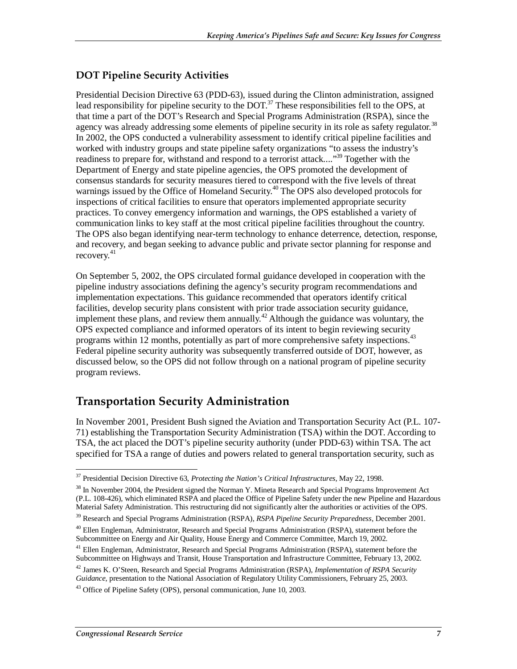#### **DOT Pipeline Security Activities**

Presidential Decision Directive 63 (PDD-63), issued during the Clinton administration, assigned lead responsibility for pipeline security to the  $DOT$ .<sup>37</sup> These responsibilities fell to the OPS, at that time a part of the DOT's Research and Special Programs Administration (RSPA), since the agency was already addressing some elements of pipeline security in its role as safety regulator.<sup>38</sup> In 2002, the OPS conducted a vulnerability assessment to identify critical pipeline facilities and worked with industry groups and state pipeline safety organizations "to assess the industry's readiness to prepare for, withstand and respond to a terrorist attack...."<sup>39</sup> Together with the Department of Energy and state pipeline agencies, the OPS promoted the development of consensus standards for security measures tiered to correspond with the five levels of threat warnings issued by the Office of Homeland Security.<sup>40</sup> The OPS also developed protocols for inspections of critical facilities to ensure that operators implemented appropriate security practices. To convey emergency information and warnings, the OPS established a variety of communication links to key staff at the most critical pipeline facilities throughout the country. The OPS also began identifying near-term technology to enhance deterrence, detection, response, and recovery, and began seeking to advance public and private sector planning for response and recovery.<sup>41</sup>

On September 5, 2002, the OPS circulated formal guidance developed in cooperation with the pipeline industry associations defining the agency's security program recommendations and implementation expectations. This guidance recommended that operators identify critical facilities, develop security plans consistent with prior trade association security guidance, implement these plans, and review them annually.<sup>42</sup> Although the guidance was voluntary, the OPS expected compliance and informed operators of its intent to begin reviewing security programs within 12 months, potentially as part of more comprehensive safety inspections.<sup>43</sup> Federal pipeline security authority was subsequently transferred outside of DOT, however, as discussed below, so the OPS did not follow through on a national program of pipeline security program reviews.

### **Transportation Security Administration**

In November 2001, President Bush signed the Aviation and Transportation Security Act (P.L. 107- 71) establishing the Transportation Security Administration (TSA) within the DOT. According to TSA, the act placed the DOT's pipeline security authority (under PDD-63) within TSA. The act specified for TSA a range of duties and powers related to general transportation security, such as

<sup>&</sup>lt;u>.</u> 37 Presidential Decision Directive 63, *Protecting the Nation's Critical Infrastructures*, May 22, 1998.

<sup>&</sup>lt;sup>38</sup> In November 2004, the President signed the Norman Y. Mineta Research and Special Programs Improvement Act (P.L. 108-426), which eliminated RSPA and placed the Office of Pipeline Safety under the new Pipeline and Hazardous Material Safety Administration. This restructuring did not significantly alter the authorities or activities of the OPS.

<sup>39</sup> Research and Special Programs Administration (RSPA), *RSPA Pipeline Security Preparedness*, December 2001.

<sup>&</sup>lt;sup>40</sup> Ellen Engleman, Administrator, Research and Special Programs Administration (RSPA), statement before the Subcommittee on Energy and Air Quality, House Energy and Commerce Committee, March 19, 2002.

<sup>&</sup>lt;sup>41</sup> Ellen Engleman, Administrator, Research and Special Programs Administration (RSPA), statement before the Subcommittee on Highways and Transit, House Transportation and Infrastructure Committee, February 13, 2002.

<sup>42</sup> James K. O'Steen, Research and Special Programs Administration (RSPA), *Implementation of RSPA Security Guidance*, presentation to the National Association of Regulatory Utility Commissioners, February 25, 2003.

 $43$  Office of Pipeline Safety (OPS), personal communication, June 10, 2003.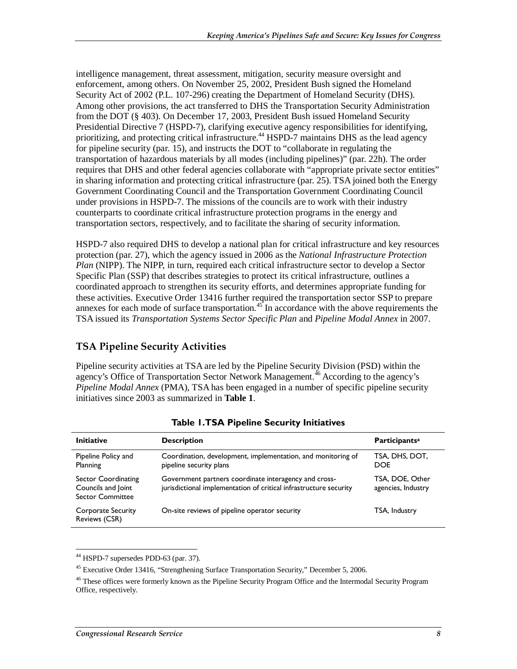intelligence management, threat assessment, mitigation, security measure oversight and enforcement, among others. On November 25, 2002, President Bush signed the Homeland Security Act of 2002 (P.L. 107-296) creating the Department of Homeland Security (DHS). Among other provisions, the act transferred to DHS the Transportation Security Administration from the DOT (§ 403). On December 17, 2003, President Bush issued Homeland Security Presidential Directive 7 (HSPD-7), clarifying executive agency responsibilities for identifying, prioritizing, and protecting critical infrastructure.<sup>44</sup> HSPD-7 maintains DHS as the lead agency for pipeline security (par. 15), and instructs the DOT to "collaborate in regulating the transportation of hazardous materials by all modes (including pipelines)" (par. 22h). The order requires that DHS and other federal agencies collaborate with "appropriate private sector entities" in sharing information and protecting critical infrastructure (par. 25). TSA joined both the Energy Government Coordinating Council and the Transportation Government Coordinating Council under provisions in HSPD-7. The missions of the councils are to work with their industry counterparts to coordinate critical infrastructure protection programs in the energy and transportation sectors, respectively, and to facilitate the sharing of security information.

HSPD-7 also required DHS to develop a national plan for critical infrastructure and key resources protection (par. 27), which the agency issued in 2006 as the *National Infrastructure Protection Plan* (NIPP). The NIPP, in turn, required each critical infrastructure sector to develop a Sector Specific Plan (SSP) that describes strategies to protect its critical infrastructure, outlines a coordinated approach to strengthen its security efforts, and determines appropriate funding for these activities. Executive Order 13416 further required the transportation sector SSP to prepare annexes for each mode of surface transportation.<sup>45</sup> In accordance with the above requirements the TSA issued its *Transportation Systems Sector Specific Plan* and *Pipeline Modal Annex* in 2007.

#### **TSA Pipeline Security Activities**

Pipeline security activities at TSA are led by the Pipeline Security Division (PSD) within the agency's Office of Transportation Sector Network Management.<sup>46</sup> According to the agency's *Pipeline Modal Annex* (PMA), TSA has been engaged in a number of specific pipeline security initiatives since 2003 as summarized in **Table 1**.

| <b>Initiative</b>                                                    | <b>Description</b>                                                                                                         | Participants <sup>a</sup>             |
|----------------------------------------------------------------------|----------------------------------------------------------------------------------------------------------------------------|---------------------------------------|
| Pipeline Policy and<br>Planning                                      | Coordination, development, implementation, and monitoring of<br>pipeline security plans                                    | TSA, DHS, DOT,<br><b>DOE</b>          |
| Sector Coordinating<br>Councils and Joint<br><b>Sector Committee</b> | Government partners coordinate interagency and cross-<br>jurisdictional implementation of critical infrastructure security | TSA, DOE, Other<br>agencies, Industry |
| <b>Corporate Security</b><br>Reviews (CSR)                           | On-site reviews of pipeline operator security                                                                              | TSA, Industry                         |

**Table 1. TSA Pipeline Security Initiatives** 

<sup>-</sup><sup>44</sup> HSPD-7 supersedes PDD-63 (par. 37).

 $45$  Executive Order 13416, "Strengthening Surface Transportation Security," December 5, 2006.

<sup>&</sup>lt;sup>46</sup> These offices were formerly known as the Pipeline Security Program Office and the Intermodal Security Program Office, respectively.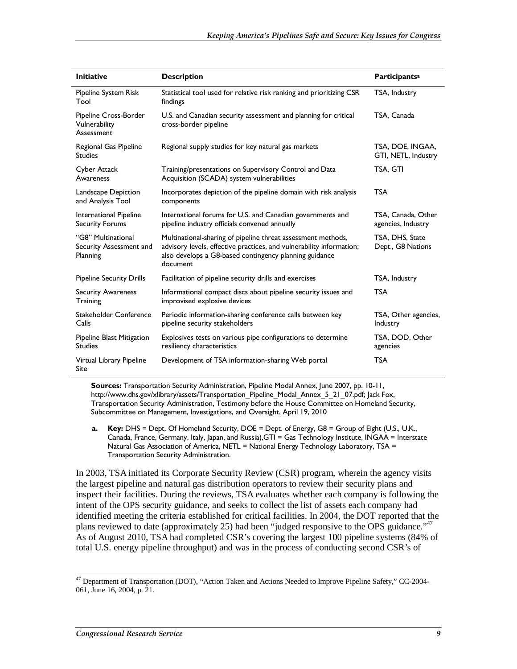| <b>Initiative</b>                                         | <b>Description</b>                                                                                                                                                                                         | <b>Participantsa</b>                     |
|-----------------------------------------------------------|------------------------------------------------------------------------------------------------------------------------------------------------------------------------------------------------------------|------------------------------------------|
| Pipeline System Risk<br>Tool                              | Statistical tool used for relative risk ranking and prioritizing CSR<br>findings                                                                                                                           | TSA, Industry                            |
| Pipeline Cross-Border<br>Vulnerability<br>Assessment      | U.S. and Canadian security assessment and planning for critical<br>cross-border pipeline                                                                                                                   | TSA, Canada                              |
| Regional Gas Pipeline<br><b>Studies</b>                   | Regional supply studies for key natural gas markets                                                                                                                                                        | TSA, DOE, INGAA,<br>GTI, NETL, Industry  |
| <b>Cyber Attack</b><br>Awareness                          | Training/presentations on Supervisory Control and Data<br>Acquisition (SCADA) system vulnerabilities                                                                                                       | TSA, GTI                                 |
| Landscape Depiction<br>and Analysis Tool                  | Incorporates depiction of the pipeline domain with risk analysis<br>components                                                                                                                             | <b>TSA</b>                               |
| International Pipeline<br><b>Security Forums</b>          | International forums for U.S. and Canadian governments and<br>pipeline industry officials convened annually                                                                                                | TSA. Canada. Other<br>agencies, Industry |
| "G8" Multinational<br>Security Assessment and<br>Planning | Multinational-sharing of pipeline threat assessment methods,<br>advisory levels, effective practices, and vulnerability information;<br>also develops a G8-based contingency planning guidance<br>document | TSA, DHS, State<br>Dept., G8 Nations     |
| <b>Pipeline Security Drills</b>                           | Facilitation of pipeline security drills and exercises                                                                                                                                                     | TSA, Industry                            |
| <b>Security Awareness</b><br>Training                     | Informational compact discs about pipeline security issues and<br>improvised explosive devices                                                                                                             | <b>TSA</b>                               |
| Stakeholder Conference<br>Calls                           | Periodic information-sharing conference calls between key<br>pipeline security stakeholders                                                                                                                | TSA, Other agencies,<br>Industry         |
| Pipeline Blast Mitigation<br><b>Studies</b>               | Explosives tests on various pipe configurations to determine<br>resiliency characteristics                                                                                                                 | TSA, DOD, Other<br>agencies              |
| Virtual Library Pipeline<br>Site                          | Development of TSA information-sharing Web portal                                                                                                                                                          | <b>TSA</b>                               |

**Sources:** Transportation Security Administration, Pipeline Modal Annex, June 2007, pp. 10-11, http://www.dhs.gov/xlibrary/assets/Transportation\_Pipeline\_Modal\_Annex\_5\_21\_07.pdf; Jack Fox, Transportation Security Administration, Testimony before the House Committee on Homeland Security, Subcommittee on Management, Investigations, and Oversight, April 19, 2010

**a. Key:** DHS = Dept. Of Homeland Security, DOE = Dept. of Energy, G8 = Group of Eight (U.S., U.K., Canada, France, Germany, Italy, Japan, and Russia),GTI = Gas Technology Institute, INGAA = Interstate Natural Gas Association of America, NETL = National Energy Technology Laboratory, TSA = Transportation Security Administration.

In 2003, TSA initiated its Corporate Security Review (CSR) program, wherein the agency visits the largest pipeline and natural gas distribution operators to review their security plans and inspect their facilities. During the reviews, TSA evaluates whether each company is following the intent of the OPS security guidance, and seeks to collect the list of assets each company had identified meeting the criteria established for critical facilities. In 2004, the DOT reported that the plans reviewed to date (approximately 25) had been "judged responsive to the OPS guidance."<sup>47</sup> As of August 2010, TSA had completed CSR's covering the largest 100 pipeline systems (84% of total U.S. energy pipeline throughput) and was in the process of conducting second CSR's of

-

<sup>&</sup>lt;sup>47</sup> Department of Transportation (DOT), "Action Taken and Actions Needed to Improve Pipeline Safety," CC-2004-061, June 16, 2004, p. 21.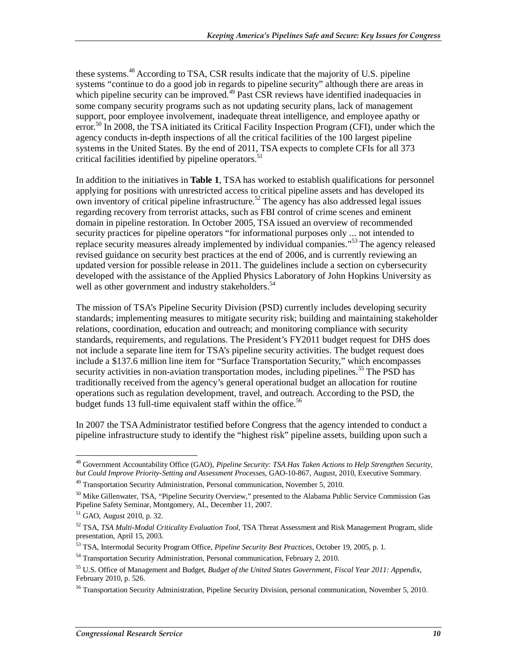these systems.<sup>48</sup> According to TSA, CSR results indicate that the majority of U.S. pipeline systems "continue to do a good job in regards to pipeline security" although there are areas in which pipeline security can be improved.<sup>49</sup> Past CSR reviews have identified inadequacies in some company security programs such as not updating security plans, lack of management support, poor employee involvement, inadequate threat intelligence, and employee apathy or error.<sup>50</sup> In 2008, the TSA initiated its Critical Facility Inspection Program (CFI), under which the agency conducts in-depth inspections of all the critical facilities of the 100 largest pipeline systems in the United States. By the end of 2011, TSA expects to complete CFIs for all 373 critical facilities identified by pipeline operators.<sup>51</sup>

In addition to the initiatives in **Table 1**, TSA has worked to establish qualifications for personnel applying for positions with unrestricted access to critical pipeline assets and has developed its own inventory of critical pipeline infrastructure.<sup>52</sup> The agency has also addressed legal issues regarding recovery from terrorist attacks, such as FBI control of crime scenes and eminent domain in pipeline restoration. In October 2005, TSA issued an overview of recommended security practices for pipeline operators "for informational purposes only ... not intended to replace security measures already implemented by individual companies."53 The agency released revised guidance on security best practices at the end of 2006, and is currently reviewing an updated version for possible release in 2011. The guidelines include a section on cybersecurity developed with the assistance of the Applied Physics Laboratory of John Hopkins University as well as other government and industry stakeholders.<sup>54</sup>

The mission of TSA's Pipeline Security Division (PSD) currently includes developing security standards; implementing measures to mitigate security risk; building and maintaining stakeholder relations, coordination, education and outreach; and monitoring compliance with security standards, requirements, and regulations. The President's FY2011 budget request for DHS does not include a separate line item for TSA's pipeline security activities. The budget request does include a \$137.6 million line item for "Surface Transportation Security," which encompasses security activities in non-aviation transportation modes, including pipelines.<sup>55</sup> The PSD has traditionally received from the agency's general operational budget an allocation for routine operations such as regulation development, travel, and outreach. According to the PSD, the budget funds 13 full-time equivalent staff within the office.<sup>56</sup>

In 2007 the TSA Administrator testified before Congress that the agency intended to conduct a pipeline infrastructure study to identify the "highest risk" pipeline assets, building upon such a

-

<sup>48</sup> Government Accountability Office (GAO), *Pipeline Security: TSA Has Taken Actions to Help Strengthen Security, but Could Improve Priority-Setting and Assessment Processes*, GAO-10-867, August, 2010, Executive Summary.

<sup>&</sup>lt;sup>49</sup> Transportation Security Administration, Personal communication, November 5, 2010.

<sup>&</sup>lt;sup>50</sup> Mike Gillenwater, TSA, "Pipeline Security Overview," presented to the Alabama Public Service Commission Gas Pipeline Safety Seminar, Montgomery, AL, December 11, 2007.

<sup>51</sup> GAO, August 2010, p. 32.

<sup>52</sup> TSA, *TSA Multi-Modal Criticality Evaluation Tool*, TSA Threat Assessment and Risk Management Program, slide presentation, April 15, 2003.

<sup>53</sup> TSA, Intermodal Security Program Office, *Pipeline Security Best Practices*, October 19, 2005, p. 1.

<sup>&</sup>lt;sup>54</sup> Transportation Security Administration, Personal communication, February 2, 2010.

<sup>55</sup> U.S. Office of Management and Budget, *Budget of the United States Government, Fiscal Year 2011: Appendix*, February 2010, p. 526.

<sup>&</sup>lt;sup>56</sup> Transportation Security Administration, Pipeline Security Division, personal communication, November 5, 2010.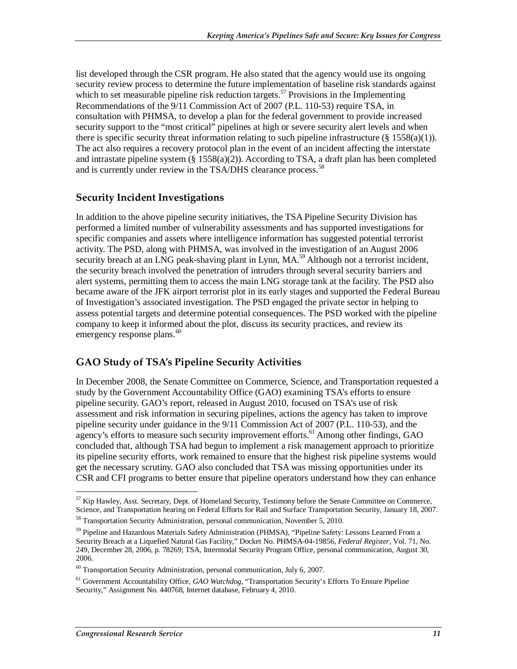list developed through the CSR program. He also stated that the agency would use its ongoing security review process to determine the future implementation of baseline risk standards against which to set measurable pipeline risk reduction targets.<sup>57</sup> Provisions in the Implementing Recommendations of the 9/11 Commission Act of 2007 (P.L. 110-53) require TSA, in consultation with PHMSA, to develop a plan for the federal government to provide increased security support to the "most critical" pipelines at high or severe security alert levels and when there is specific security threat information relating to such pipeline infrastructure  $(\S 1558(a)(1))$ . The act also requires a recovery protocol plan in the event of an incident affecting the interstate and intrastate pipeline system  $(\S 1558(a)(2))$ . According to TSA, a draft plan has been completed and is currently under review in the TSA/DHS clearance process.<sup>58</sup>

#### **Security Incident Investigations**

In addition to the above pipeline security initiatives, the TSA Pipeline Security Division has performed a limited number of vulnerability assessments and has supported investigations for specific companies and assets where intelligence information has suggested potential terrorist activity. The PSD, along with PHMSA, was involved in the investigation of an August 2006 security breach at an LNG peak-shaving plant in Lynn, MA.<sup>59</sup> Although not a terrorist incident, the security breach involved the penetration of intruders through several security barriers and alert systems, permitting them to access the main LNG storage tank at the facility. The PSD also became aware of the JFK airport terrorist plot in its early stages and supported the Federal Bureau of Investigation's associated investigation. The PSD engaged the private sector in helping to assess potential targets and determine potential consequences. The PSD worked with the pipeline company to keep it informed about the plot, discuss its security practices, and review its emergency response plans.<sup>60</sup>

#### **GAO Study of TSA's Pipeline Security Activities**

In December 2008, the Senate Committee on Commerce, Science, and Transportation requested a study by the Government Accountability Office (GAO) examining TSA's efforts to ensure pipeline security. GAO's report, released in August 2010, focused on TSA's use of risk assessment and risk information in securing pipelines, actions the agency has taken to improve pipeline security under guidance in the 9/11 Commission Act of 2007 (P.L. 110-53), and the agency's efforts to measure such security improvement efforts.<sup>61</sup> Among other findings, GAO concluded that, although TSA had begun to implement a risk management approach to prioritize its pipeline security efforts, work remained to ensure that the highest risk pipeline systems would get the necessary scrutiny. GAO also concluded that TSA was missing opportunities under its CSR and CFI programs to better ensure that pipeline operators understand how they can enhance

<sup>&</sup>lt;u>.</u> <sup>57</sup> Kip Hawley, Asst. Secretary, Dept. of Homeland Security, Testimony before the Senate Committee on Commerce, Science, and Transportation hearing on Federal Efforts for Rail and Surface Transportation Security, January 18, 2007. 58 Transportation Security Administration, personal communication, November 5, 2010.

<sup>&</sup>lt;sup>59</sup> Pipeline and Hazardous Materials Safety Administration (PHMSA), "Pipeline Safety: Lessons Learned From a Security Breach at a Liquefied Natural Gas Facility," Docket No. PHMSA-04-19856, *Federal Register*, Vol. 71, No. 249, December 28, 2006, p. 78269; TSA, Intermodal Security Program Office, personal communication, August 30, 2006.

 $60$  Transportation Security Administration, personal communication, July 6, 2007.

<sup>61</sup> Government Accountability Office, *GAO Watchdog*, "Transportation Security's Efforts To Ensure Pipeline Security," Assignment No. 440768, Internet database, February 4, 2010.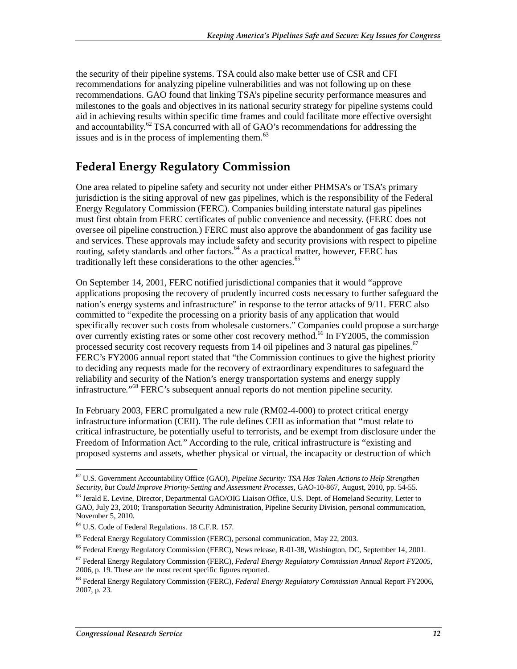the security of their pipeline systems. TSA could also make better use of CSR and CFI recommendations for analyzing pipeline vulnerabilities and was not following up on these recommendations. GAO found that linking TSA's pipeline security performance measures and milestones to the goals and objectives in its national security strategy for pipeline systems could aid in achieving results within specific time frames and could facilitate more effective oversight and accountability. $^{62}$  TSA concurred with all of GAO's recommendations for addressing the issues and is in the process of implementing them. $^{63}$ 

## **Federal Energy Regulatory Commission**

One area related to pipeline safety and security not under either PHMSA's or TSA's primary jurisdiction is the siting approval of new gas pipelines, which is the responsibility of the Federal Energy Regulatory Commission (FERC). Companies building interstate natural gas pipelines must first obtain from FERC certificates of public convenience and necessity. (FERC does not oversee oil pipeline construction.) FERC must also approve the abandonment of gas facility use and services. These approvals may include safety and security provisions with respect to pipeline routing, safety standards and other factors.<sup>64</sup> As a practical matter, however, FERC has traditionally left these considerations to the other agencies.<sup>65</sup>

On September 14, 2001, FERC notified jurisdictional companies that it would "approve applications proposing the recovery of prudently incurred costs necessary to further safeguard the nation's energy systems and infrastructure" in response to the terror attacks of 9/11. FERC also committed to "expedite the processing on a priority basis of any application that would specifically recover such costs from wholesale customers." Companies could propose a surcharge over currently existing rates or some other cost recovery method.<sup> $66$ </sup> In FY2005, the commission processed security cost recovery requests from 14 oil pipelines and 3 natural gas pipelines.<sup>67</sup> FERC's FY2006 annual report stated that "the Commission continues to give the highest priority to deciding any requests made for the recovery of extraordinary expenditures to safeguard the reliability and security of the Nation's energy transportation systems and energy supply infrastructure."68 FERC's subsequent annual reports do not mention pipeline security.

In February 2003, FERC promulgated a new rule (RM02-4-000) to protect critical energy infrastructure information (CEII). The rule defines CEII as information that "must relate to critical infrastructure, be potentially useful to terrorists, and be exempt from disclosure under the Freedom of Information Act." According to the rule, critical infrastructure is "existing and proposed systems and assets, whether physical or virtual, the incapacity or destruction of which

<sup>&</sup>lt;u>.</u> 62 U.S. Government Accountability Office (GAO), *Pipeline Security: TSA Has Taken Actions to Help Strengthen Security, but Could Improve Priority-Setting and Assessment Processes*, GAO-10-867, August, 2010, pp. 54-55.

<sup>63</sup> Jerald E. Levine, Director, Departmental GAO/OIG Liaison Office, U.S. Dept. of Homeland Security, Letter to GAO, July 23, 2010; Transportation Security Administration, Pipeline Security Division, personal communication, November 5, 2010.

<sup>64</sup> U.S. Code of Federal Regulations. 18 C.F.R. 157.

<sup>&</sup>lt;sup>65</sup> Federal Energy Regulatory Commission (FERC), personal communication, May 22, 2003.

<sup>&</sup>lt;sup>66</sup> Federal Energy Regulatory Commission (FERC), News release, R-01-38, Washington, DC, September 14, 2001.

<sup>67</sup> Federal Energy Regulatory Commission (FERC), *Federal Energy Regulatory Commission Annual Report FY2005*, 2006, p. 19. These are the most recent specific figures reported.

<sup>68</sup> Federal Energy Regulatory Commission (FERC), *Federal Energy Regulatory Commission* Annual Report FY2006, 2007, p. 23.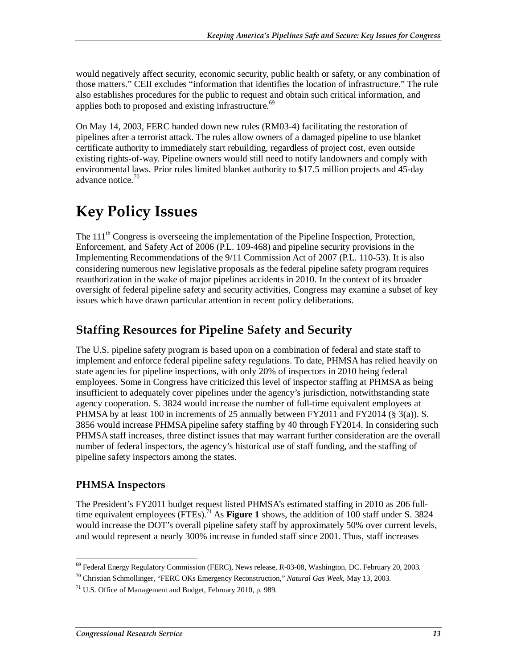would negatively affect security, economic security, public health or safety, or any combination of those matters." CEII excludes "information that identifies the location of infrastructure." The rule also establishes procedures for the public to request and obtain such critical information, and applies both to proposed and existing infrastructure.<sup>69</sup>

On May 14, 2003, FERC handed down new rules (RM03-4) facilitating the restoration of pipelines after a terrorist attack. The rules allow owners of a damaged pipeline to use blanket certificate authority to immediately start rebuilding, regardless of project cost, even outside existing rights-of-way. Pipeline owners would still need to notify landowners and comply with environmental laws. Prior rules limited blanket authority to \$17.5 million projects and 45-day advance notice.<sup>70</sup>

## **Key Policy Issues**

The  $111<sup>th</sup>$  Congress is overseeing the implementation of the Pipeline Inspection, Protection, Enforcement, and Safety Act of 2006 (P.L. 109-468) and pipeline security provisions in the Implementing Recommendations of the 9/11 Commission Act of 2007 (P.L. 110-53). It is also considering numerous new legislative proposals as the federal pipeline safety program requires reauthorization in the wake of major pipelines accidents in 2010. In the context of its broader oversight of federal pipeline safety and security activities, Congress may examine a subset of key issues which have drawn particular attention in recent policy deliberations.

## **Staffing Resources for Pipeline Safety and Security**

The U.S. pipeline safety program is based upon on a combination of federal and state staff to implement and enforce federal pipeline safety regulations. To date, PHMSA has relied heavily on state agencies for pipeline inspections, with only 20% of inspectors in 2010 being federal employees. Some in Congress have criticized this level of inspector staffing at PHMSA as being insufficient to adequately cover pipelines under the agency's jurisdiction, notwithstanding state agency cooperation. S. 3824 would increase the number of full-time equivalent employees at PHMSA by at least 100 in increments of 25 annually between  $FY2011$  and  $FY2014$  (§ 3(a)). S. 3856 would increase PHMSA pipeline safety staffing by 40 through FY2014. In considering such PHMSA staff increases, three distinct issues that may warrant further consideration are the overall number of federal inspectors, the agency's historical use of staff funding, and the staffing of pipeline safety inspectors among the states.

#### **PHMSA Inspectors**

The President's FY2011 budget request listed PHMSA's estimated staffing in 2010 as 206 fulltime equivalent employees (FTEs).<sup>71</sup> As **Figure 1** shows, the addition of 100 staff under S. 3824 would increase the DOT's overall pipeline safety staff by approximately 50% over current levels, and would represent a nearly 300% increase in funded staff since 2001. Thus, staff increases

<sup>-</sup><sup>69</sup> Federal Energy Regulatory Commission (FERC), News release, R-03-08, Washington, DC. February 20, 2003.

<sup>70</sup> Christian Schmollinger, "FERC OKs Emergency Reconstruction," *Natural Gas Week,* May 13, 2003.

 $71$  U.S. Office of Management and Budget, February 2010, p. 989.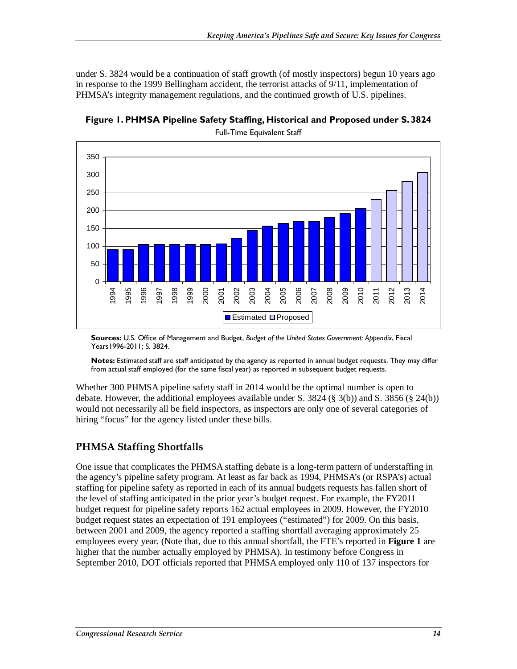under S. 3824 would be a continuation of staff growth (of mostly inspectors) begun 10 years ago in response to the 1999 Bellingham accident, the terrorist attacks of 9/11, implementation of PHMSA's integrity management regulations, and the continued growth of U.S. pipelines.



**Figure 1. PHMSA Pipeline Safety Staffing, Historical and Proposed under S. 3824** 

Full-Time Equivalent Staff

**Sources:** U.S. Office of Management and Budget, *Budget of the United States Government: Appendix*, Fiscal Years1996-2011; S. 3824.

**Notes:** Estimated staff are staff anticipated by the agency as reported in annual budget requests. They may differ from actual staff employed (for the same fiscal year) as reported in subsequent budget requests.

Whether 300 PHMSA pipeline safety staff in 2014 would be the optimal number is open to debate. However, the additional employees available under S. 3824 (§ 3(b)) and S. 3856 (§ 24(b)) would not necessarily all be field inspectors, as inspectors are only one of several categories of hiring "focus" for the agency listed under these bills.

#### **PHMSA Staffing Shortfalls**

One issue that complicates the PHMSA staffing debate is a long-term pattern of understaffing in the agency's pipeline safety program. At least as far back as 1994, PHMSA's (or RSPA's) actual staffing for pipeline safety as reported in each of its annual budgets requests has fallen short of the level of staffing anticipated in the prior year's budget request. For example, the FY2011 budget request for pipeline safety reports 162 actual employees in 2009. However, the FY2010 budget request states an expectation of 191 employees ("estimated") for 2009. On this basis, between 2001 and 2009, the agency reported a staffing shortfall averaging approximately 25 employees every year. (Note that, due to this annual shortfall, the FTE's reported in **Figure 1** are higher that the number actually employed by PHMSA). In testimony before Congress in September 2010, DOT officials reported that PHMSA employed only 110 of 137 inspectors for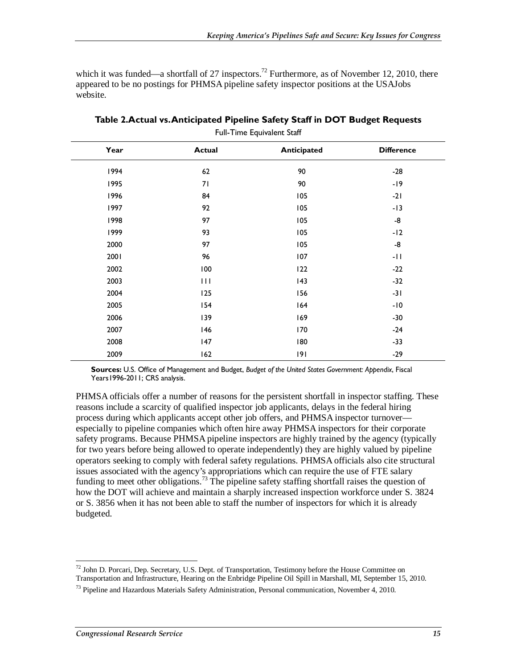which it was funded—a shortfall of 27 inspectors.<sup>72</sup> Furthermore, as of November 12, 2010, there appeared to be no postings for PHMSA pipeline safety inspector positions at the USAJobs website.

| Year<br><b>Actual</b><br><b>Anticipated</b> |     |     |                   |  |
|---------------------------------------------|-----|-----|-------------------|--|
|                                             |     |     | <b>Difference</b> |  |
| 1994                                        | 62  | 90  | $-28$             |  |
| 1995                                        | 71  | 90  | $-19$             |  |
| 1996                                        | 84  | 105 | $-21$             |  |
| 1997                                        | 92  | 105 | $-13$             |  |
| 1998                                        | 97  | 105 | -8                |  |
| 1999                                        | 93  | 105 | $-12$             |  |
| 2000                                        | 97  | 105 | -8                |  |
| 2001                                        | 96  | 107 | $-11$             |  |
| 2002                                        | 100 | 122 | $-22$             |  |
| 2003                                        | 111 | 43  | $-32$             |  |
| 2004                                        | 125 | 156 | $-31$             |  |
| 2005                                        | 154 | 164 | $-10$             |  |
| 2006                                        | 139 | 169 | $-30$             |  |
| 2007                                        | 146 | 170 | $-24$             |  |
| 2008                                        | 147 | 180 | $-33$             |  |
| 2009                                        | 162 | 9   | $-29$             |  |

**Table 2.Actual vs. Anticipated Pipeline Safety Staff in DOT Budget Requests**  Full-Time Equivalent Staff

**Sources:** U.S. Office of Management and Budget, *Budget of the United States Government: Appendix*, Fiscal Years 1996-2011; CRS analysis.

PHMSA officials offer a number of reasons for the persistent shortfall in inspector staffing. These reasons include a scarcity of qualified inspector job applicants, delays in the federal hiring process during which applicants accept other job offers, and PHMSA inspector turnover especially to pipeline companies which often hire away PHMSA inspectors for their corporate safety programs. Because PHMSA pipeline inspectors are highly trained by the agency (typically for two years before being allowed to operate independently) they are highly valued by pipeline operators seeking to comply with federal safety regulations. PHMSA officials also cite structural issues associated with the agency's appropriations which can require the use of FTE salary funding to meet other obligations.<sup>73</sup> The pipeline safety staffing shortfall raises the question of how the DOT will achieve and maintain a sharply increased inspection workforce under S. 3824 or S. 3856 when it has not been able to staff the number of inspectors for which it is already budgeted.

<sup>-</sup> $72$  John D. Porcari, Dep. Secretary, U.S. Dept. of Transportation, Testimony before the House Committee on Transportation and Infrastructure, Hearing on the Enbridge Pipeline Oil Spill in Marshall, MI, September 15, 2010.

 $^{73}$  Pipeline and Hazardous Materials Safety Administration, Personal communication, November 4, 2010.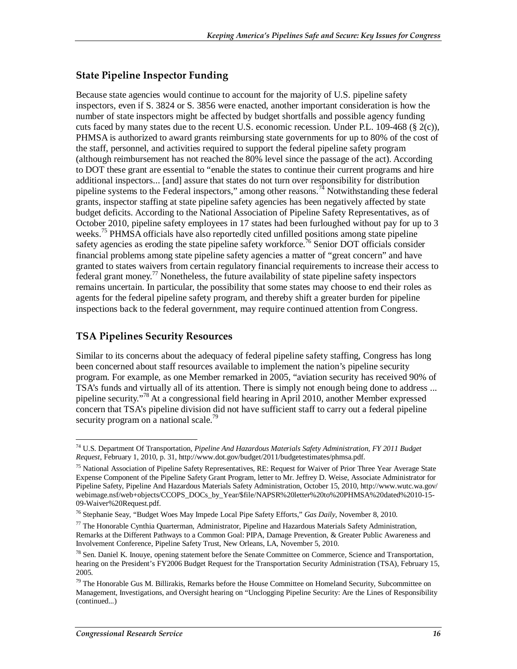#### **State Pipeline Inspector Funding**

Because state agencies would continue to account for the majority of U.S. pipeline safety inspectors, even if S. 3824 or S. 3856 were enacted, another important consideration is how the number of state inspectors might be affected by budget shortfalls and possible agency funding cuts faced by many states due to the recent U.S. economic recession. Under P.L. 109-468 (§ 2(c)), PHMSA is authorized to award grants reimbursing state governments for up to 80% of the cost of the staff, personnel, and activities required to support the federal pipeline safety program (although reimbursement has not reached the 80% level since the passage of the act). According to DOT these grant are essential to "enable the states to continue their current programs and hire additional inspectors... [and] assure that states do not turn over responsibility for distribution pipeline systems to the Federal inspectors," among other reasons.<sup>74</sup> Notwithstanding these federal grants, inspector staffing at state pipeline safety agencies has been negatively affected by state budget deficits. According to the National Association of Pipeline Safety Representatives, as of October 2010, pipeline safety employees in 17 states had been furloughed without pay for up to 3 weeks.<sup>75</sup> PHMSA officials have also reportedly cited unfilled positions among state pipeline safety agencies as eroding the state pipeline safety workforce.<sup>76</sup> Senior DOT officials consider financial problems among state pipeline safety agencies a matter of "great concern" and have granted to states waivers from certain regulatory financial requirements to increase their access to federal grant money.<sup>77</sup> Nonetheless, the future availability of state pipeline safety inspectors remains uncertain. In particular, the possibility that some states may choose to end their roles as agents for the federal pipeline safety program, and thereby shift a greater burden for pipeline inspections back to the federal government, may require continued attention from Congress.

#### **TSA Pipelines Security Resources**

Similar to its concerns about the adequacy of federal pipeline safety staffing, Congress has long been concerned about staff resources available to implement the nation's pipeline security program. For example, as one Member remarked in 2005, "aviation security has received 90% of TSA's funds and virtually all of its attention. There is simply not enough being done to address ... pipeline security."78 At a congressional field hearing in April 2010, another Member expressed concern that TSA's pipeline division did not have sufficient staff to carry out a federal pipeline security program on a national scale.<sup>79</sup>

-

<sup>74</sup> U.S. Department Of Transportation, *Pipeline And Hazardous Materials Safety Administration, FY 2011 Budget Request*, February 1, 2010, p. 31, http://www.dot.gov/budget/2011/budgetestimates/phmsa.pdf.

<sup>&</sup>lt;sup>75</sup> National Association of Pipeline Safety Representatives, RE: Request for Waiver of Prior Three Year Average State Expense Component of the Pipeline Safety Grant Program, letter to Mr. Jeffrey D. Weise, Associate Administrator for Pipeline Safety, Pipeline And Hazardous Materials Safety Administration, October 15, 2010, http://www.wutc.wa.gov/ webimage.nsf/web+objects/CCOPS\_DOCs\_by\_Year/\$file/NAPSR%20letter%20to%20PHMSA%20dated%2010-15-09-Waiver%20Request.pdf.

<sup>76</sup> Stephanie Seay, "Budget Woes May Impede Local Pipe Safety Efforts," *Gas Daily*, November 8, 2010.

 $77$  The Honorable Cynthia Quarterman, Administrator, Pipeline and Hazardous Materials Safety Administration, Remarks at the Different Pathways to a Common Goal: PIPA, Damage Prevention, & Greater Public Awareness and Involvement Conference, Pipeline Safety Trust, New Orleans, LA, November 5, 2010.

 $^{78}$  Sen. Daniel K. Inouye, opening statement before the Senate Committee on Commerce, Science and Transportation, hearing on the President's FY2006 Budget Request for the Transportation Security Administration (TSA), February 15, 2005.

<sup>&</sup>lt;sup>79</sup> The Honorable Gus M. Billirakis, Remarks before the House Committee on Homeland Security, Subcommittee on Management, Investigations, and Oversight hearing on "Unclogging Pipeline Security: Are the Lines of Responsibility (continued...)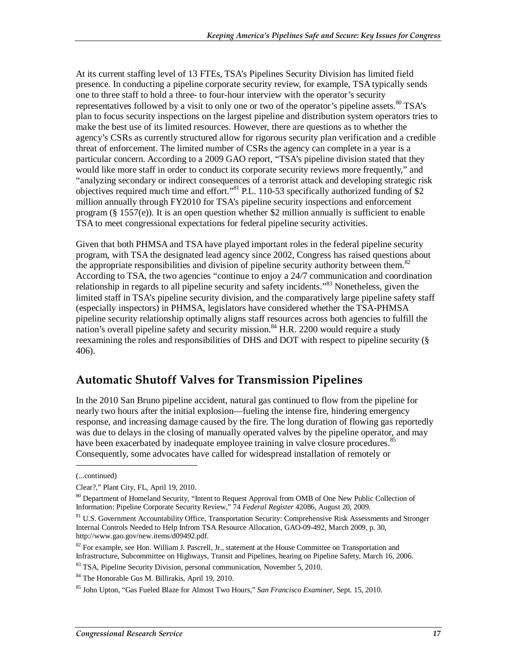At its current staffing level of 13 FTEs, TSA's Pipelines Security Division has limited field presence. In conducting a pipeline corporate security review, for example, TSA typically sends one to three staff to hold a three- to four-hour interview with the operator's security representatives followed by a visit to only one or two of the operator's pipeline assets. $80^\circ$  TSA's plan to focus security inspections on the largest pipeline and distribution system operators tries to make the best use of its limited resources. However, there are questions as to whether the agency's CSRs as currently structured allow for rigorous security plan verification and a credible threat of enforcement. The limited number of CSRs the agency can complete in a year is a particular concern. According to a 2009 GAO report, "TSA's pipeline division stated that they would like more staff in order to conduct its corporate security reviews more frequently," and "analyzing secondary or indirect consequences of a terrorist attack and developing strategic risk objectives required much time and effort."<sup>81</sup> P.L. 110-53 specifically authorized funding of \$2 million annually through FY2010 for TSA's pipeline security inspections and enforcement program  $(\frac{8}{5} 1557(e))$ . It is an open question whether \$2 million annually is sufficient to enable TSA to meet congressional expectations for federal pipeline security activities.

Given that both PHMSA and TSA have played important roles in the federal pipeline security program, with TSA the designated lead agency since 2002, Congress has raised questions about the appropriate responsibilities and division of pipeline security authority between them.<sup>82</sup> According to TSA, the two agencies "continue to enjoy a 24/7 communication and coordination relationship in regards to all pipeline security and safety incidents."<sup>83</sup> Nonetheless, given the limited staff in TSA's pipeline security division, and the comparatively large pipeline safety staff (especially inspectors) in PHMSA, legislators have considered whether the TSA-PHMSA pipeline security relationship optimally aligns staff resources across both agencies to fulfill the nation's overall pipeline safety and security mission.<sup>84</sup> H.R. 2200 would require a study reexamining the roles and responsibilities of DHS and DOT with respect to pipeline security (§ 406).

## **Automatic Shutoff Valves for Transmission Pipelines**

In the 2010 San Bruno pipeline accident, natural gas continued to flow from the pipeline for nearly two hours after the initial explosion—fueling the intense fire, hindering emergency response, and increasing damage caused by the fire. The long duration of flowing gas reportedly was due to delays in the closing of manually operated valves by the pipeline operator, and may have been exacerbated by inadequate employee training in valve closure procedures.<sup>85</sup> Consequently, some advocates have called for widespread installation of remotely or

<u>.</u>

<sup>(...</sup>continued)

Clear?," Plant City, FL, April 19, 2010.

<sup>&</sup>lt;sup>80</sup> Department of Homeland Security, "Intent to Request Approval from OMB of One New Public Collection of Information: Pipeline Corporate Security Review," 74 *Federal Register* 42086, August 20, 2009.

<sup>&</sup>lt;sup>81</sup> U.S. Government Accountability Office, Transportation Security: Comprehensive Risk Assessments and Stronger Internal Controls Needed to Help Infrom TSA Resource Allocation, GAO-09-492, March 2009, p. 30, http://www.gao.gov/new.items/d09492.pdf.

<sup>&</sup>lt;sup>82</sup> For example, see Hon. William J. Pascrell, Jr., statement at the House Committee on Transportation and Infrastructure, Subcommittee on Highways, Transit and Pipelines, hearing on Pipeline Safety, March 16, 2006.

<sup>&</sup>lt;sup>83</sup> TSA, Pipeline Security Division, personal communication, November 5, 2010.

<sup>84</sup> The Honorable Gus M. Billirakis, April 19, 2010.

<sup>85</sup> John Upton, "Gas Fueled Blaze for Almost Two Hours," *San Francisco Examiner*, Sept. 15, 2010.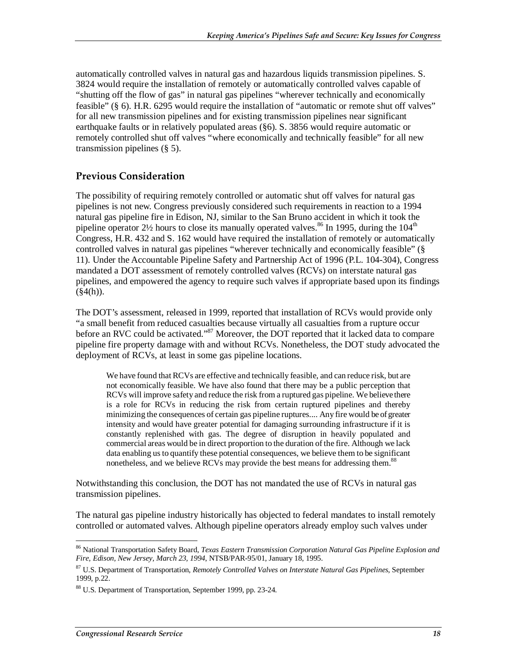automatically controlled valves in natural gas and hazardous liquids transmission pipelines. S. 3824 would require the installation of remotely or automatically controlled valves capable of "shutting off the flow of gas" in natural gas pipelines "wherever technically and economically feasible" (§ 6). H.R. 6295 would require the installation of "automatic or remote shut off valves" for all new transmission pipelines and for existing transmission pipelines near significant earthquake faults or in relatively populated areas (§6). S. 3856 would require automatic or remotely controlled shut off valves "where economically and technically feasible" for all new transmission pipelines (§ 5).

#### **Previous Consideration**

The possibility of requiring remotely controlled or automatic shut off valves for natural gas pipelines is not new. Congress previously considered such requirements in reaction to a 1994 natural gas pipeline fire in Edison, NJ, similar to the San Bruno accident in which it took the pipeline operator  $2\frac{1}{2}$  hours to close its manually operated valves.<sup>86</sup> In 1995, during the 104<sup>th</sup> Congress, H.R. 432 and S. 162 would have required the installation of remotely or automatically controlled valves in natural gas pipelines "wherever technically and economically feasible" (§ 11). Under the Accountable Pipeline Safety and Partnership Act of 1996 (P.L. 104-304), Congress mandated a DOT assessment of remotely controlled valves (RCVs) on interstate natural gas pipelines, and empowered the agency to require such valves if appropriate based upon its findings  $(\$4(h)).$ 

The DOT's assessment, released in 1999, reported that installation of RCVs would provide only "a small benefit from reduced casualties because virtually all casualties from a rupture occur before an RVC could be activated."<sup>87</sup> Moreover, the DOT reported that it lacked data to compare pipeline fire property damage with and without RCVs. Nonetheless, the DOT study advocated the deployment of RCVs, at least in some gas pipeline locations.

We have found that RCVs are effective and technically feasible, and can reduce risk, but are not economically feasible. We have also found that there may be a public perception that RCVs will improve safety and reduce the risk from a ruptured gas pipeline. We believe there is a role for RCVs in reducing the risk from certain ruptured pipelines and thereby minimizing the consequences of certain gas pipeline ruptures.... Any fire would be of greater intensity and would have greater potential for damaging surrounding infrastructure if it is constantly replenished with gas. The degree of disruption in heavily populated and commercial areas would be in direct proportion to the duration of the fire. Although we lack data enabling us to quantify these potential consequences, we believe them to be significant nonetheless, and we believe RCVs may provide the best means for addressing them.<sup>88</sup>

Notwithstanding this conclusion, the DOT has not mandated the use of RCVs in natural gas transmission pipelines.

The natural gas pipeline industry historically has objected to federal mandates to install remotely controlled or automated valves. Although pipeline operators already employ such valves under

<sup>-</sup>86 National Transportation Safety Board, *Texas Eastern Transmission Corporation Natural Gas Pipeline Explosion and Fire, Edison, New Jersey, March 23, 1994*, NTSB/PAR-95/01, January 18, 1995.

<sup>87</sup> U.S. Department of Transportation, *Remotely Controlled Valves on Interstate Natural Gas Pipelines*, September 1999, p.22.

<sup>88</sup> U.S. Department of Transportation, September 1999, pp. 23-24.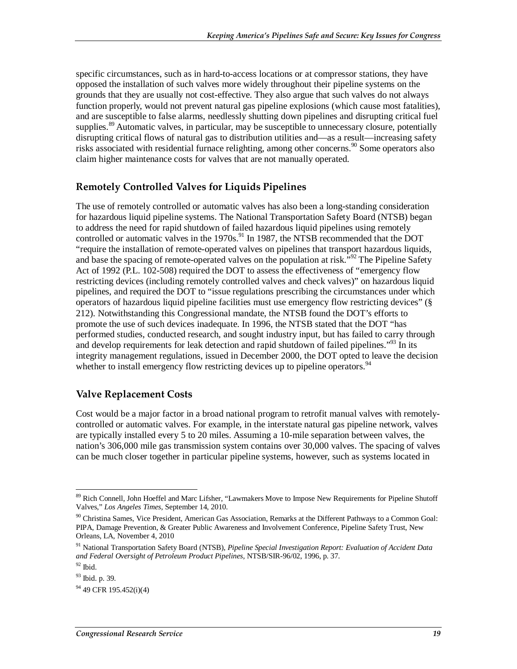specific circumstances, such as in hard-to-access locations or at compressor stations, they have opposed the installation of such valves more widely throughout their pipeline systems on the grounds that they are usually not cost-effective. They also argue that such valves do not always function properly, would not prevent natural gas pipeline explosions (which cause most fatalities), and are susceptible to false alarms, needlessly shutting down pipelines and disrupting critical fuel supplies.<sup>89</sup> Automatic valves, in particular, may be susceptible to unnecessary closure, potentially disrupting critical flows of natural gas to distribution utilities and—as a result—increasing safety risks associated with residential furnace relighting, among other concerns.<sup>90</sup> Some operators also claim higher maintenance costs for valves that are not manually operated.

#### **Remotely Controlled Valves for Liquids Pipelines**

The use of remotely controlled or automatic valves has also been a long-standing consideration for hazardous liquid pipeline systems. The National Transportation Safety Board (NTSB) began to address the need for rapid shutdown of failed hazardous liquid pipelines using remotely controlled or automatic valves in the 1970s.<sup>91</sup> In 1987, the NTSB recommended that the DOT "require the installation of remote-operated valves on pipelines that transport hazardous liquids, and base the spacing of remote-operated valves on the population at risk.<sup>592</sup> The Pipeline Safety Act of 1992 (P.L. 102-508) required the DOT to assess the effectiveness of "emergency flow restricting devices (including remotely controlled valves and check valves)" on hazardous liquid pipelines, and required the DOT to "issue regulations prescribing the circumstances under which operators of hazardous liquid pipeline facilities must use emergency flow restricting devices" (§ 212). Notwithstanding this Congressional mandate, the NTSB found the DOT's efforts to promote the use of such devices inadequate. In 1996, the NTSB stated that the DOT "has performed studies, conducted research, and sought industry input, but has failed to carry through and develop requirements for leak detection and rapid shutdown of failed pipelines.<sup> $33$ </sup> In its integrity management regulations, issued in December 2000, the DOT opted to leave the decision whether to install emergency flow restricting devices up to pipeline operators.<sup>94</sup>

#### **Valve Replacement Costs**

Cost would be a major factor in a broad national program to retrofit manual valves with remotelycontrolled or automatic valves. For example, in the interstate natural gas pipeline network, valves are typically installed every 5 to 20 miles. Assuming a 10-mile separation between valves, the nation's 306,000 mile gas transmission system contains over 30,000 valves. The spacing of valves can be much closer together in particular pipeline systems, however, such as systems located in

<sup>-</sup><sup>89</sup> Rich Connell, John Hoeffel and Marc Lifsher, "Lawmakers Move to Impose New Requirements for Pipeline Shutoff Valves," *Los Angeles Times*, September 14, 2010.

<sup>&</sup>lt;sup>90</sup> Christina Sames, Vice President, American Gas Association, Remarks at the Different Pathways to a Common Goal: PIPA, Damage Prevention, & Greater Public Awareness and Involvement Conference, Pipeline Safety Trust, New Orleans, LA, November 4, 2010

<sup>91</sup> National Transportation Safety Board (NTSB), *Pipeline Special Investigation Report: Evaluation of Accident Data and Federal Oversight of Petroleum Product Pipelines,* NTSB/SIR-96/02, 1996, p. 37.

 $92$  Ibid.

<sup>93</sup> Ibid. p. 39.

<sup>&</sup>lt;sup>94</sup> 49 CFR 195.452(i)(4)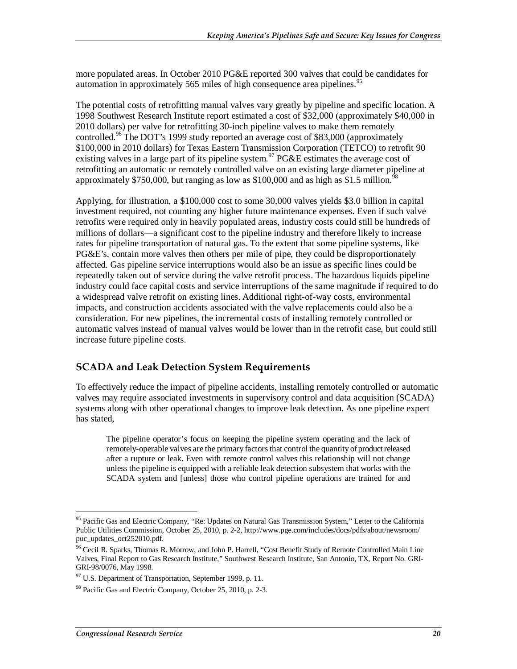more populated areas. In October 2010 PG&E reported 300 valves that could be candidates for automation in approximately 565 miles of high consequence area pipelines.<sup>95</sup>

The potential costs of retrofitting manual valves vary greatly by pipeline and specific location. A 1998 Southwest Research Institute report estimated a cost of \$32,000 (approximately \$40,000 in 2010 dollars) per valve for retrofitting 30-inch pipeline valves to make them remotely controlled.<sup>96</sup> The DOT's 1999 study reported an average cost of \$83,000 (approximately \$100,000 in 2010 dollars) for Texas Eastern Transmission Corporation (TETCO) to retrofit 90 existing valves in a large part of its pipeline system.<sup>97</sup> PG&E estimates the average cost of retrofitting an automatic or remotely controlled valve on an existing large diameter pipeline at approximately \$750,000, but ranging as low as \$100,000 and as high as \$1.5 million.<sup>9</sup>

Applying, for illustration, a \$100,000 cost to some 30,000 valves yields \$3.0 billion in capital investment required, not counting any higher future maintenance expenses. Even if such valve retrofits were required only in heavily populated areas, industry costs could still be hundreds of millions of dollars—a significant cost to the pipeline industry and therefore likely to increase rates for pipeline transportation of natural gas. To the extent that some pipeline systems, like PG&E's, contain more valves then others per mile of pipe, they could be disproportionately affected. Gas pipeline service interruptions would also be an issue as specific lines could be repeatedly taken out of service during the valve retrofit process. The hazardous liquids pipeline industry could face capital costs and service interruptions of the same magnitude if required to do a widespread valve retrofit on existing lines. Additional right-of-way costs, environmental impacts, and construction accidents associated with the valve replacements could also be a consideration. For new pipelines, the incremental costs of installing remotely controlled or automatic valves instead of manual valves would be lower than in the retrofit case, but could still increase future pipeline costs.

#### **SCADA and Leak Detection System Requirements**

To effectively reduce the impact of pipeline accidents, installing remotely controlled or automatic valves may require associated investments in supervisory control and data acquisition (SCADA) systems along with other operational changes to improve leak detection. As one pipeline expert has stated,

The pipeline operator's focus on keeping the pipeline system operating and the lack of remotely-operable valves are the primary factors that control the quantity of product released after a rupture or leak. Even with remote control valves this relationship will not change unless the pipeline is equipped with a reliable leak detection subsystem that works with the SCADA system and [unless] those who control pipeline operations are trained for and

-

<sup>&</sup>lt;sup>95</sup> Pacific Gas and Electric Company, "Re: Updates on Natural Gas Transmission System," Letter to the California Public Utilities Commission, October 25, 2010, p. 2-2, http://www.pge.com/includes/docs/pdfs/about/newsroom/ puc\_updates\_oct252010.pdf.

<sup>&</sup>lt;sup>96</sup> Cecil R. Sparks, Thomas R. Morrow, and John P. Harrell, "Cost Benefit Study of Remote Controlled Main Line Valves, Final Report to Gas Research Institute," Southwest Research Institute, San Antonio, TX, Report No. GRI-GRI-98/0076, May 1998.

 $97$  U.S. Department of Transportation, September 1999, p. 11.

<sup>&</sup>lt;sup>98</sup> Pacific Gas and Electric Company, October 25, 2010, p. 2-3.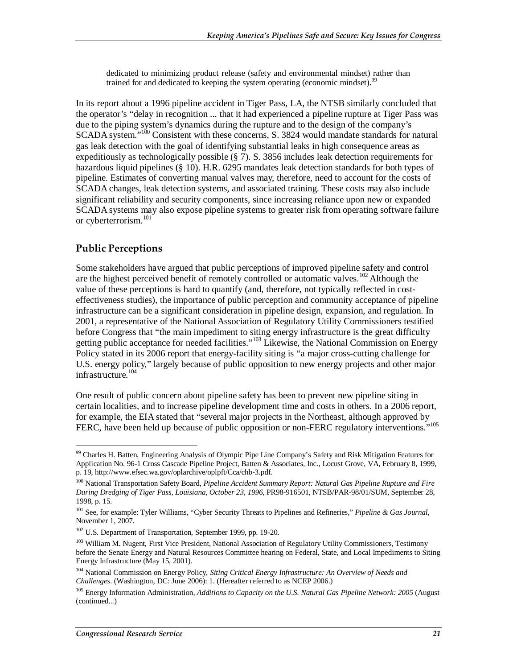dedicated to minimizing product release (safety and environmental mindset) rather than trained for and dedicated to keeping the system operating (economic mindset).<sup>99</sup>

In its report about a 1996 pipeline accident in Tiger Pass, LA, the NTSB similarly concluded that the operator's "delay in recognition ... that it had experienced a pipeline rupture at Tiger Pass was due to the piping system's dynamics during the rupture and to the design of the company's SCADA system."<sup>100</sup> Consistent with these concerns, S. 3824 would mandate standards for natural gas leak detection with the goal of identifying substantial leaks in high consequence areas as expeditiously as technologically possible (§ 7). S. 3856 includes leak detection requirements for hazardous liquid pipelines (§ 10). H.R. 6295 mandates leak detection standards for both types of pipeline. Estimates of converting manual valves may, therefore, need to account for the costs of SCADA changes, leak detection systems, and associated training. These costs may also include significant reliability and security components, since increasing reliance upon new or expanded SCADA systems may also expose pipeline systems to greater risk from operating software failure or cyberterrorism.<sup>101</sup>

#### **Public Perceptions**

Some stakeholders have argued that public perceptions of improved pipeline safety and control are the highest perceived benefit of remotely controlled or automatic valves.<sup>102</sup> Although the value of these perceptions is hard to quantify (and, therefore, not typically reflected in costeffectiveness studies), the importance of public perception and community acceptance of pipeline infrastructure can be a significant consideration in pipeline design, expansion, and regulation. In 2001, a representative of the National Association of Regulatory Utility Commissioners testified before Congress that "the main impediment to siting energy infrastructure is the great difficulty getting public acceptance for needed facilities."<sup>103</sup> Likewise, the National Commission on Energy Policy stated in its 2006 report that energy-facility siting is "a major cross-cutting challenge for U.S. energy policy," largely because of public opposition to new energy projects and other major infrastructure.<sup>104</sup>

One result of public concern about pipeline safety has been to prevent new pipeline siting in certain localities, and to increase pipeline development time and costs in others. In a 2006 report, for example, the EIA stated that "several major projects in the Northeast, although approved by FERC, have been held up because of public opposition or non-FERC regulatory interventions."<sup>105</sup>

<sup>&</sup>lt;u>.</u> 99 Charles H. Batten, Engineering Analysis of Olympic Pipe Line Company's Safety and Risk Mitigation Features for Application No. 96-1 Cross Cascade Pipeline Project, Batten & Associates, Inc., Locust Grove, VA, February 8, 1999, p. 19, http://www.efsec.wa.gov/oplarchive/oplpft/Cca/chb-3.pdf.

<sup>100</sup> National Transportation Safety Board, *Pipeline Accident Summary Report: Natural Gas Pipeline Rupture and Fire During Dredging of Tiger Pass, Louisiana, October 23, 1996*, PR98-916501, NTSB/PAR-98/01/SUM, September 28, 1998, p. 15.

<sup>101</sup> See, for example: Tyler Williams, "Cyber Security Threats to Pipelines and Refineries," *Pipeline & Gas Journal*, November 1, 2007.

<sup>102</sup> U.S. Department of Transportation, September 1999, pp. 19-20.

<sup>&</sup>lt;sup>103</sup> William M. Nugent, First Vice President, National Association of Regulatory Utility Commissioners, Testimony before the Senate Energy and Natural Resources Committee hearing on Federal, State, and Local Impediments to Siting Energy Infrastructure (May 15, 2001).

<sup>104</sup> National Commission on Energy Policy, *Siting Critical Energy Infrastructure: An Overview of Needs and Challenges*. (Washington, DC: June 2006): 1. (Hereafter referred to as NCEP 2006.)

<sup>&</sup>lt;sup>105</sup> Energy Information Administration, *Additions to Capacity on the U.S. Natural Gas Pipeline Network: 2005* (August (continued...)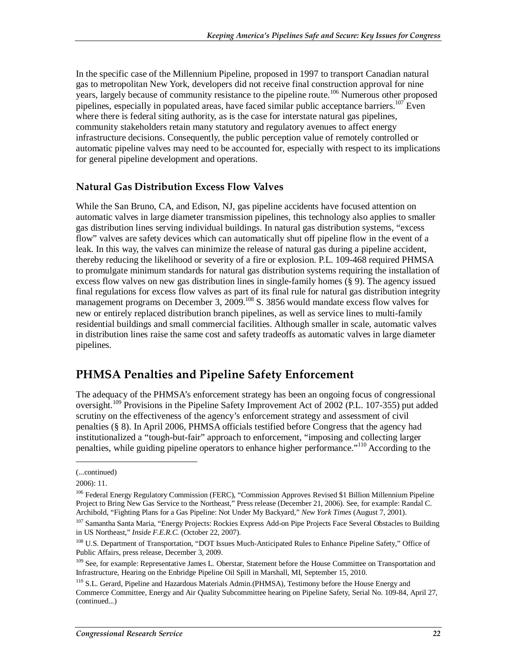In the specific case of the Millennium Pipeline, proposed in 1997 to transport Canadian natural gas to metropolitan New York, developers did not receive final construction approval for nine years, largely because of community resistance to the pipeline route.<sup>106</sup> Numerous other proposed pipelines, especially in populated areas, have faced similar public acceptance barriers.<sup>107</sup> Even where there is federal siting authority, as is the case for interstate natural gas pipelines, community stakeholders retain many statutory and regulatory avenues to affect energy infrastructure decisions. Consequently, the public perception value of remotely controlled or automatic pipeline valves may need to be accounted for, especially with respect to its implications for general pipeline development and operations.

#### **Natural Gas Distribution Excess Flow Valves**

While the San Bruno, CA, and Edison, NJ, gas pipeline accidents have focused attention on automatic valves in large diameter transmission pipelines, this technology also applies to smaller gas distribution lines serving individual buildings. In natural gas distribution systems, "excess flow" valves are safety devices which can automatically shut off pipeline flow in the event of a leak. In this way, the valves can minimize the release of natural gas during a pipeline accident, thereby reducing the likelihood or severity of a fire or explosion. P.L. 109-468 required PHMSA to promulgate minimum standards for natural gas distribution systems requiring the installation of excess flow valves on new gas distribution lines in single-family homes (§ 9). The agency issued final regulations for excess flow valves as part of its final rule for natural gas distribution integrity management programs on December 3, 2009.<sup>108</sup> S. 3856 would mandate excess flow valves for new or entirely replaced distribution branch pipelines, as well as service lines to multi-family residential buildings and small commercial facilities. Although smaller in scale, automatic valves in distribution lines raise the same cost and safety tradeoffs as automatic valves in large diameter pipelines.

### **PHMSA Penalties and Pipeline Safety Enforcement**

The adequacy of the PHMSA's enforcement strategy has been an ongoing focus of congressional oversight.<sup>109</sup> Provisions in the Pipeline Safety Improvement Act of 2002 (P.L. 107-355) put added scrutiny on the effectiveness of the agency's enforcement strategy and assessment of civil penalties (§ 8). In April 2006, PHMSA officials testified before Congress that the agency had institutionalized a "tough-but-fair" approach to enforcement, "imposing and collecting larger penalties, while guiding pipeline operators to enhance higher performance."110 According to the

1

<sup>(...</sup>continued)

<sup>2006): 11.</sup> 

<sup>106</sup> Federal Energy Regulatory Commission (FERC), "Commission Approves Revised \$1 Billion Millennium Pipeline Project to Bring New Gas Service to the Northeast," Press release (December 21, 2006). See, for example: Randal C. Archibold, "Fighting Plans for a Gas Pipeline: Not Under My Backyard," *New York Times* (August 7, 2001).

<sup>&</sup>lt;sup>107</sup> Samantha Santa Maria, "Energy Projects: Rockies Express Add-on Pipe Projects Face Several Obstacles to Building in US Northeast," *Inside F.E.R.C.* (October 22, 2007).

<sup>&</sup>lt;sup>108</sup> U.S. Department of Transportation, "DOT Issues Much-Anticipated Rules to Enhance Pipeline Safety," Office of Public Affairs, press release, December 3, 2009.

<sup>&</sup>lt;sup>109</sup> See, for example: Representative James L. Oberstar, Statement before the House Committee on Transportation and Infrastructure, Hearing on the Enbridge Pipeline Oil Spill in Marshall, MI, September 15, 2010.

<sup>110</sup> S.L. Gerard, Pipeline and Hazardous Materials Admin.(PHMSA), Testimony before the House Energy and Commerce Committee, Energy and Air Quality Subcommittee hearing on Pipeline Safety, Serial No. 109-84, April 27, (continued...)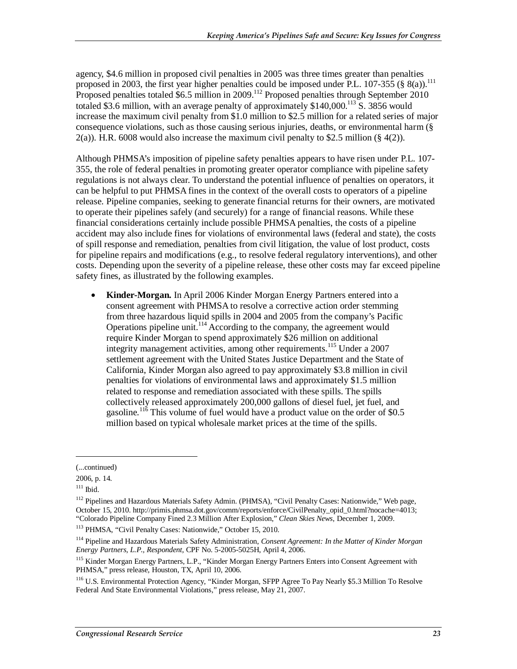agency, \$4.6 million in proposed civil penalties in 2005 was three times greater than penalties proposed in 2003, the first year higher penalties could be imposed under P.L. 107-355 (§ 8(a)).<sup>111</sup> Proposed penalties totaled \$6.5 million in 2009.<sup>112</sup> Proposed penalties through September 2010 totaled \$3.6 million, with an average penalty of approximately  $$140,000$ .<sup>113</sup> S. 3856 would increase the maximum civil penalty from \$1.0 million to \$2.5 million for a related series of major consequence violations, such as those causing serious injuries, deaths, or environmental harm (§  $2(a)$ ). H.R. 6008 would also increase the maximum civil penalty to \$2.5 million (§ 4(2)).

Although PHMSA's imposition of pipeline safety penalties appears to have risen under P.L. 107- 355, the role of federal penalties in promoting greater operator compliance with pipeline safety regulations is not always clear. To understand the potential influence of penalties on operators, it can be helpful to put PHMSA fines in the context of the overall costs to operators of a pipeline release. Pipeline companies, seeking to generate financial returns for their owners, are motivated to operate their pipelines safely (and securely) for a range of financial reasons. While these financial considerations certainly include possible PHMSA penalties, the costs of a pipeline accident may also include fines for violations of environmental laws (federal and state), the costs of spill response and remediation, penalties from civil litigation, the value of lost product, costs for pipeline repairs and modifications (e.g., to resolve federal regulatory interventions), and other costs. Depending upon the severity of a pipeline release, these other costs may far exceed pipeline safety fines, as illustrated by the following examples.

• **Kinder-Morgan.** In April 2006 Kinder Morgan Energy Partners entered into a consent agreement with PHMSA to resolve a corrective action order stemming from three hazardous liquid spills in 2004 and 2005 from the company's Pacific Operations pipeline unit.<sup> $114$ </sup> According to the company, the agreement would require Kinder Morgan to spend approximately \$26 million on additional integrity management activities, among other requirements.<sup>115</sup> Under a 2007 settlement agreement with the United States Justice Department and the State of California, Kinder Morgan also agreed to pay approximately \$3.8 million in civil penalties for violations of environmental laws and approximately \$1.5 million related to response and remediation associated with these spills. The spills collectively released approximately 200,000 gallons of diesel fuel, jet fuel, and gasoline.<sup>116</sup> This volume of fuel would have a product value on the order of \$0.5 million based on typical wholesale market prices at the time of the spills.

1

<sup>(...</sup>continued)

<sup>2006,</sup> p. 14.

 $111$  Ibid.

<sup>&</sup>lt;sup>112</sup> Pipelines and Hazardous Materials Safety Admin. (PHMSA), "Civil Penalty Cases: Nationwide," Web page, October 15, 2010. http://primis.phmsa.dot.gov/comm/reports/enforce/CivilPenalty\_opid\_0.html?nocache=4013; "Colorado Pipeline Company Fined 2.3 Million After Explosion," *Clean Skies News*, December 1, 2009.

<sup>113</sup> PHMSA, "Civil Penalty Cases: Nationwide," October 15, 2010.

<sup>114</sup> Pipeline and Hazardous Materials Safety Administration, *Consent Agreement: In the Matter of Kinder Morgan Energy Partners, L.P., Respondent*, CPF No. 5-2005-5025H, April 4, 2006.

<sup>&</sup>lt;sup>115</sup> Kinder Morgan Energy Partners, L.P., "Kinder Morgan Energy Partners Enters into Consent Agreement with PHMSA," press release, Houston, TX, April 10, 2006.

<sup>&</sup>lt;sup>116</sup> U.S. Environmental Protection Agency, "Kinder Morgan, SFPP Agree To Pay Nearly \$5.3 Million To Resolve Federal And State Environmental Violations," press release, May 21, 2007.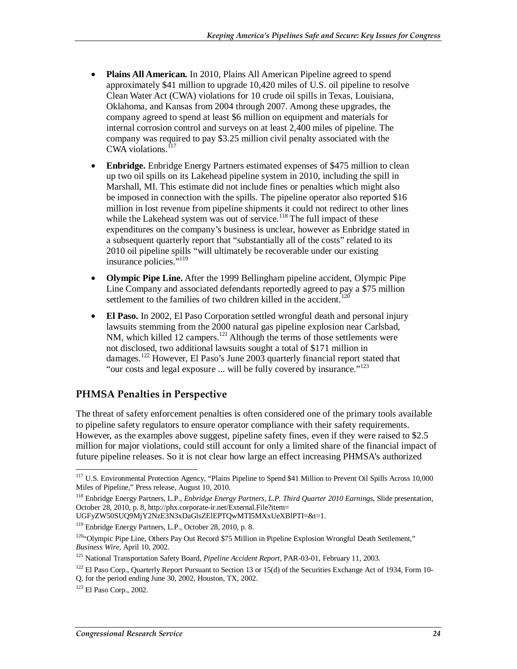- **Plains All American.** In 2010, Plains All American Pipeline agreed to spend approximately \$41 million to upgrade 10,420 miles of U.S. oil pipeline to resolve Clean Water Act (CWA) violations for 10 crude oil spills in Texas, Louisiana, Oklahoma, and Kansas from 2004 through 2007. Among these upgrades, the company agreed to spend at least \$6 million on equipment and materials for internal corrosion control and surveys on at least 2,400 miles of pipeline. The company was required to pay \$3.25 million civil penalty associated with the  $CWA$  violations.<sup> $117$ </sup>
- **Enbridge.** Enbridge Energy Partners estimated expenses of \$475 million to clean up two oil spills on its Lakehead pipeline system in 2010, including the spill in Marshall, MI. This estimate did not include fines or penalties which might also be imposed in connection with the spills. The pipeline operator also reported \$16 million in lost revenue from pipeline shipments it could not redirect to other lines while the Lakehead system was out of service.<sup>118</sup> The full impact of these expenditures on the company's business is unclear, however as Enbridge stated in a subsequent quarterly report that "substantially all of the costs" related to its 2010 oil pipeline spills "will ultimately be recoverable under our existing insurance policies."<sup>119</sup>
- **Olympic Pipe Line.** After the 1999 Bellingham pipeline accident, Olympic Pipe Line Company and associated defendants reportedly agreed to pay a \$75 million settlement to the families of two children killed in the accident.<sup>120</sup>
- **El Paso.** In 2002, El Paso Corporation settled wrongful death and personal injury lawsuits stemming from the 2000 natural gas pipeline explosion near Carlsbad, NM, which killed 12 campers.<sup>121</sup> Although the terms of those settlements were not disclosed, two additional lawsuits sought a total of \$171 million in damages.<sup>122</sup> However, El Paso's June 2003 quarterly financial report stated that "our costs and legal exposure ... will be fully covered by insurance."<sup>123</sup>

#### **PHMSA Penalties in Perspective**

The threat of safety enforcement penalties is often considered one of the primary tools available to pipeline safety regulators to ensure operator compliance with their safety requirements. However, as the examples above suggest, pipeline safety fines, even if they were raised to \$2.5 million for major violations, could still account for only a limited share of the financial impact of future pipeline releases. So it is not clear how large an effect increasing PHMSA's authorized

<sup>&</sup>lt;u>.</u> <sup>117</sup> U.S. Environmental Protection Agency, "Plains Pipeline to Spend \$41 Million to Prevent Oil Spills Across 10,000 Miles of Pipeline," Press release, August 10, 2010.

<sup>118</sup> Enbridge Energy Partners, L.P., *Enbridge Energy Partners, L.P. Third Quarter 2010 Earnings*, Slide presentation, October 28, 2010, p. 8, http://phx.corporate-ir.net/External.File?item=

UGFyZW50SUQ9MjY2NzE3N3xDaGlsZElEPTQwMTI5MXxUeXBlPTI=&t=1.

<sup>119</sup> Enbridge Energy Partners, L.P., October 28, 2010, p. 8.

<sup>&</sup>lt;sup>120</sup>"Olympic Pipe Line, Others Pay Out Record \$75 Million in Pipeline Explosion Wrongful Death Settlement,"<br>Business Wire, April 10, 2002.

<sup>&</sup>lt;sup>121</sup> National Transportation Safety Board, *Pipeline Accident Report*, PAR-03-01, February 11, 2003.

 $122$  El Paso Corp., Quarterly Report Pursuant to Section 13 or 15(d) of the Securities Exchange Act of 1934, Form 10-Q, for the period ending June 30, 2002, Houston, TX, 2002.

<sup>123</sup> El Paso Corp., 2002.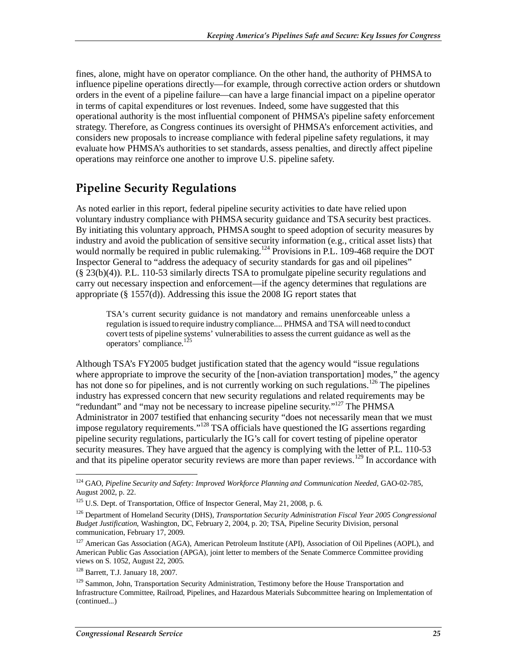fines, alone, might have on operator compliance. On the other hand, the authority of PHMSA to influence pipeline operations directly—for example, through corrective action orders or shutdown orders in the event of a pipeline failure—can have a large financial impact on a pipeline operator in terms of capital expenditures or lost revenues. Indeed, some have suggested that this operational authority is the most influential component of PHMSA's pipeline safety enforcement strategy. Therefore, as Congress continues its oversight of PHMSA's enforcement activities, and considers new proposals to increase compliance with federal pipeline safety regulations, it may evaluate how PHMSA's authorities to set standards, assess penalties, and directly affect pipeline operations may reinforce one another to improve U.S. pipeline safety.

### **Pipeline Security Regulations**

As noted earlier in this report, federal pipeline security activities to date have relied upon voluntary industry compliance with PHMSA security guidance and TSA security best practices. By initiating this voluntary approach, PHMSA sought to speed adoption of security measures by industry and avoid the publication of sensitive security information (e.g., critical asset lists) that would normally be required in public rulemaking.<sup>124</sup> Provisions in P.L. 109-468 require the DOT Inspector General to "address the adequacy of security standards for gas and oil pipelines" (§ 23(b)(4)). P.L. 110-53 similarly directs TSA to promulgate pipeline security regulations and carry out necessary inspection and enforcement—if the agency determines that regulations are appropriate (§ 1557(d)). Addressing this issue the 2008 IG report states that

TSA's current security guidance is not mandatory and remains unenforceable unless a regulation is issued to require industry compliance.... PHMSA and TSA will need to conduct covert tests of pipeline systems' vulnerabilities to assess the current guidance as well as the operators' compliance.<sup>125</sup>

Although TSA's FY2005 budget justification stated that the agency would "issue regulations where appropriate to improve the security of the [non-aviation transportation] modes," the agency has not done so for pipelines, and is not currently working on such regulations.<sup>126</sup> The pipelines industry has expressed concern that new security regulations and related requirements may be "redundant" and "may not be necessary to increase pipeline security."<sup>127</sup> The PHMSA Administrator in 2007 testified that enhancing security "does not necessarily mean that we must impose regulatory requirements."<sup>128</sup> TSA officials have questioned the IG assertions regarding pipeline security regulations, particularly the IG's call for covert testing of pipeline operator security measures. They have argued that the agency is complying with the letter of P.L. 110-53 and that its pipeline operator security reviews are more than paper reviews.<sup>129</sup> In accordance with

<sup>&</sup>lt;u>.</u> 124 GAO, *Pipeline Security and Safety: Improved Workforce Planning and Communication Needed*, GAO-02-785, August 2002, p. 22.

<sup>&</sup>lt;sup>125</sup> U.S. Dept. of Transportation, Office of Inspector General, May 21, 2008, p. 6.

<sup>126</sup> Department of Homeland Security (DHS), *Transportation Security Administration Fiscal Year 2005 Congressional Budget Justification*, Washington, DC, February 2, 2004, p. 20; TSA, Pipeline Security Division, personal communication, February 17, 2009.

<sup>&</sup>lt;sup>127</sup> American Gas Association (AGA), American Petroleum Institute (API), Association of Oil Pipelines (AOPL), and American Public Gas Association (APGA), joint letter to members of the Senate Commerce Committee providing views on S. 1052, August 22, 2005.

<sup>128</sup> Barrett, T.J. January 18, 2007.

<sup>&</sup>lt;sup>129</sup> Sammon, John, Transportation Security Administration, Testimony before the House Transportation and Infrastructure Committee, Railroad, Pipelines, and Hazardous Materials Subcommittee hearing on Implementation of (continued...)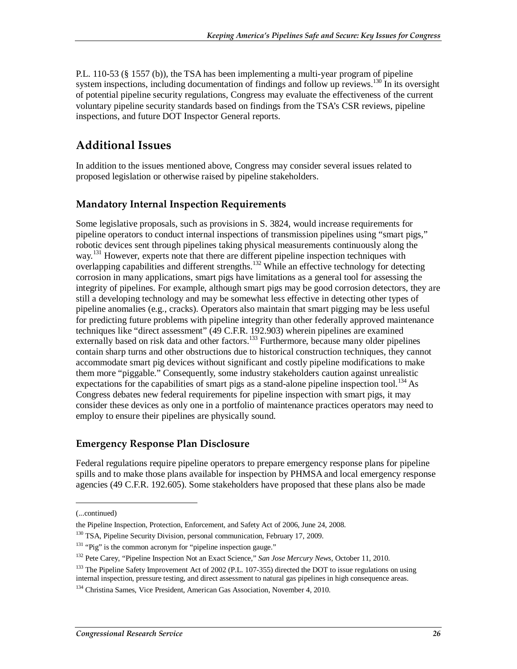P.L. 110-53 (§ 1557 (b)), the TSA has been implementing a multi-year program of pipeline system inspections, including documentation of findings and follow up reviews.<sup>130</sup> In its oversight of potential pipeline security regulations, Congress may evaluate the effectiveness of the current voluntary pipeline security standards based on findings from the TSA's CSR reviews, pipeline inspections, and future DOT Inspector General reports.

## **Additional Issues**

In addition to the issues mentioned above, Congress may consider several issues related to proposed legislation or otherwise raised by pipeline stakeholders.

#### **Mandatory Internal Inspection Requirements**

Some legislative proposals, such as provisions in S. 3824, would increase requirements for pipeline operators to conduct internal inspections of transmission pipelines using "smart pigs," robotic devices sent through pipelines taking physical measurements continuously along the way.<sup>131</sup> However, experts note that there are different pipeline inspection techniques with overlapping capabilities and different strengths.<sup>132</sup> While an effective technology for detecting corrosion in many applications, smart pigs have limitations as a general tool for assessing the integrity of pipelines. For example, although smart pigs may be good corrosion detectors, they are still a developing technology and may be somewhat less effective in detecting other types of pipeline anomalies (e.g., cracks). Operators also maintain that smart pigging may be less useful for predicting future problems with pipeline integrity than other federally approved maintenance techniques like "direct assessment" (49 C.F.R. 192.903) wherein pipelines are examined externally based on risk data and other factors.<sup>133</sup> Furthermore, because many older pipelines contain sharp turns and other obstructions due to historical construction techniques, they cannot accommodate smart pig devices without significant and costly pipeline modifications to make them more "piggable." Consequently, some industry stakeholders caution against unrealistic expectations for the capabilities of smart pigs as a stand-alone pipeline inspection tool.<sup>134</sup> As Congress debates new federal requirements for pipeline inspection with smart pigs, it may consider these devices as only one in a portfolio of maintenance practices operators may need to employ to ensure their pipelines are physically sound.

#### **Emergency Response Plan Disclosure**

Federal regulations require pipeline operators to prepare emergency response plans for pipeline spills and to make those plans available for inspection by PHMSA and local emergency response agencies (49 C.F.R. 192.605). Some stakeholders have proposed that these plans also be made

1

<sup>(...</sup>continued)

the Pipeline Inspection, Protection, Enforcement, and Safety Act of 2006, June 24, 2008.

<sup>&</sup>lt;sup>130</sup> TSA, Pipeline Security Division, personal communication, February 17, 2009.

<sup>&</sup>lt;sup>131</sup> "Pig" is the common acronym for "pipeline inspection gauge."

<sup>132</sup> Pete Carey, "Pipeline Inspection Not an Exact Science," *San Jose Mercury News*, October 11, 2010.

<sup>&</sup>lt;sup>133</sup> The Pipeline Safety Improvement Act of 2002 (P.L. 107-355) directed the DOT to issue regulations on using internal inspection, pressure testing, and direct assessment to natural gas pipelines in high consequence areas.

<sup>&</sup>lt;sup>134</sup> Christina Sames, Vice President, American Gas Association, November 4, 2010.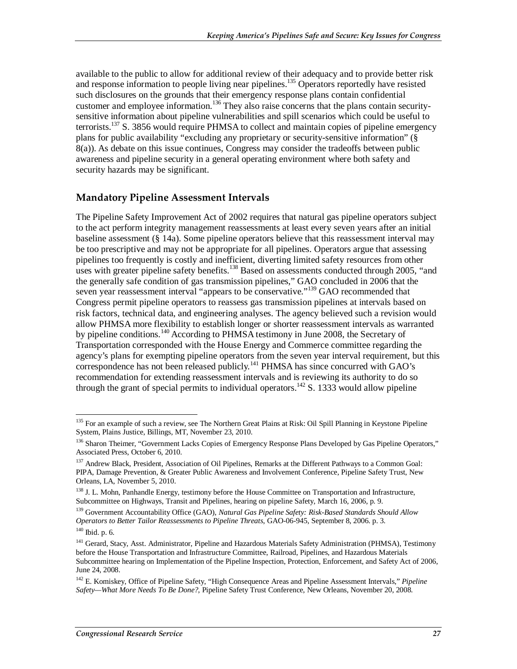available to the public to allow for additional review of their adequacy and to provide better risk and response information to people living near pipelines.<sup>135</sup> Operators reportedly have resisted such disclosures on the grounds that their emergency response plans contain confidential customer and employee information.<sup>136</sup> They also raise concerns that the plans contain securitysensitive information about pipeline vulnerabilities and spill scenarios which could be useful to terrorists.<sup>137</sup> S. 3856 would require PHMSA to collect and maintain copies of pipeline emergency plans for public availability "excluding any proprietary or security-sensitive information" (§ 8(a)). As debate on this issue continues, Congress may consider the tradeoffs between public awareness and pipeline security in a general operating environment where both safety and security hazards may be significant.

#### **Mandatory Pipeline Assessment Intervals**

The Pipeline Safety Improvement Act of 2002 requires that natural gas pipeline operators subject to the act perform integrity management reassessments at least every seven years after an initial baseline assessment (§ 14a). Some pipeline operators believe that this reassessment interval may be too prescriptive and may not be appropriate for all pipelines. Operators argue that assessing pipelines too frequently is costly and inefficient, diverting limited safety resources from other uses with greater pipeline safety benefits.<sup>138</sup> Based on assessments conducted through 2005, "and the generally safe condition of gas transmission pipelines," GAO concluded in 2006 that the seven year reassessment interval "appears to be conservative."<sup>139</sup> GAO recommended that Congress permit pipeline operators to reassess gas transmission pipelines at intervals based on risk factors, technical data, and engineering analyses. The agency believed such a revision would allow PHMSA more flexibility to establish longer or shorter reassessment intervals as warranted by pipeline conditions.<sup>140</sup> According to PHMSA testimony in June 2008, the Secretary of Transportation corresponded with the House Energy and Commerce committee regarding the agency's plans for exempting pipeline operators from the seven year interval requirement, but this correspondence has not been released publicly.<sup>141</sup> PHMSA has since concurred with GAO's recommendation for extending reassessment intervals and is reviewing its authority to do so through the grant of special permits to individual operators.<sup>142</sup> S. 1333 would allow pipeline

139 Government Accountability Office (GAO), *Natural Gas Pipeline Safety: Risk-Based Standards Should Allow Operators to Better Tailor Reassessments to Pipeline Threats*, GAO-06-945, September 8, 2006. p. 3.

<sup>-</sup><sup>135</sup> For an example of such a review, see The Northern Great Plains at Risk: Oil Spill Planning in Keystone Pipeline System, Plains Justice, Billings, MT, November 23, 2010.

<sup>&</sup>lt;sup>136</sup> Sharon Theimer, "Government Lacks Copies of Emergency Response Plans Developed by Gas Pipeline Operators," Associated Press, October 6, 2010.

<sup>&</sup>lt;sup>137</sup> Andrew Black, President, Association of Oil Pipelines, Remarks at the Different Pathways to a Common Goal: PIPA, Damage Prevention, & Greater Public Awareness and Involvement Conference, Pipeline Safety Trust, New Orleans, LA, November 5, 2010.

<sup>&</sup>lt;sup>138</sup> J. L. Mohn, Panhandle Energy, testimony before the House Committee on Transportation and Infrastructure, Subcommittee on Highways, Transit and Pipelines, hearing on pipeline Safety, March 16, 2006, p. 9.

<sup>140</sup> Ibid. p. 6.

<sup>&</sup>lt;sup>141</sup> Gerard, Stacy, Asst. Administrator, Pipeline and Hazardous Materials Safety Administration (PHMSA), Testimony before the House Transportation and Infrastructure Committee, Railroad, Pipelines, and Hazardous Materials Subcommittee hearing on Implementation of the Pipeline Inspection, Protection, Enforcement, and Safety Act of 2006, June 24, 2008.

<sup>142</sup> E. Komiskey, Office of Pipeline Safety, "High Consequence Areas and Pipeline Assessment Intervals," *Pipeline Safety—What More Needs To Be Done?*, Pipeline Safety Trust Conference, New Orleans, November 20, 2008.